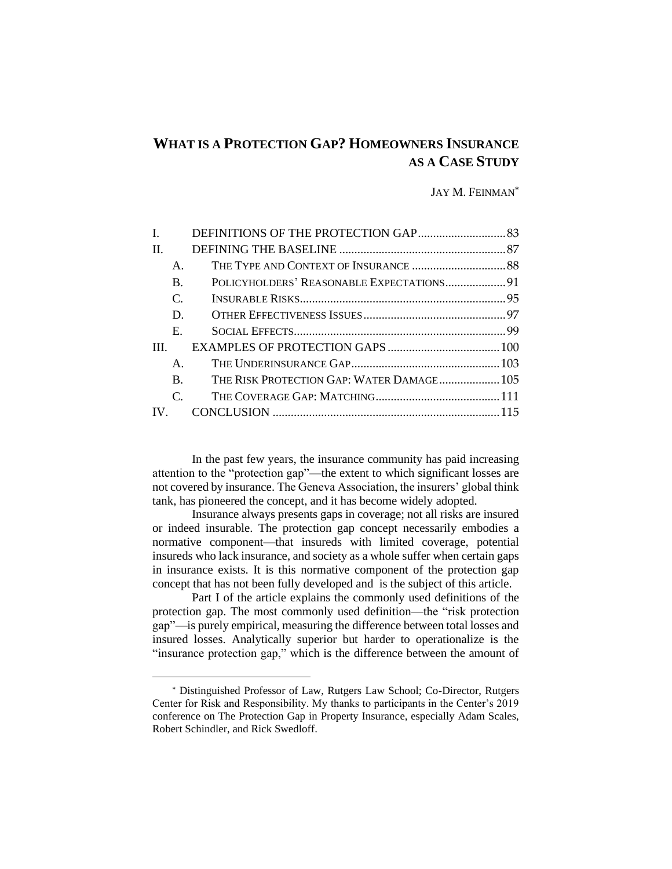# **WHAT IS A PROTECTION GAP? HOMEOWNERS INSURANCE AS A CASE STUDY**

#### JAY M. FEINMAN

| L            |                 |                                           |  |
|--------------|-----------------|-------------------------------------------|--|
| $\mathbf{H}$ |                 |                                           |  |
|              | $\mathsf{A}$ .  |                                           |  |
|              | B.              | POLICYHOLDERS' REASONABLE EXPECTATIONS 91 |  |
|              | $\mathcal{C}$ . |                                           |  |
|              | D               |                                           |  |
|              | $E_{\rm c}$     |                                           |  |
| TH.          |                 |                                           |  |
|              | $\mathsf{A}$    |                                           |  |
|              | B.              | THE RISK PROTECTION GAP: WATER DAMAGE 105 |  |
|              | $\mathcal{C}$   |                                           |  |
|              |                 |                                           |  |
|              |                 |                                           |  |

In the past few years, the insurance community has paid increasing attention to the "protection gap"—the extent to which significant losses are not covered by insurance. The Geneva Association, the insurers' global think tank, has pioneered the concept, and it has become widely adopted.

Insurance always presents gaps in coverage; not all risks are insured or indeed insurable. The protection gap concept necessarily embodies a normative component—that insureds with limited coverage, potential insureds who lack insurance, and society as a whole suffer when certain gaps in insurance exists. It is this normative component of the protection gap concept that has not been fully developed and is the subject of this article.

Part I of the article explains the commonly used definitions of the protection gap. The most commonly used definition—the "risk protection gap"—is purely empirical, measuring the difference between total losses and insured losses. Analytically superior but harder to operationalize is the "insurance protection gap," which is the difference between the amount of

Distinguished Professor of Law, Rutgers Law School; Co-Director, Rutgers Center for Risk and Responsibility. My thanks to participants in the Center's 2019 conference on The Protection Gap in Property Insurance, especially Adam Scales, Robert Schindler, and Rick Swedloff.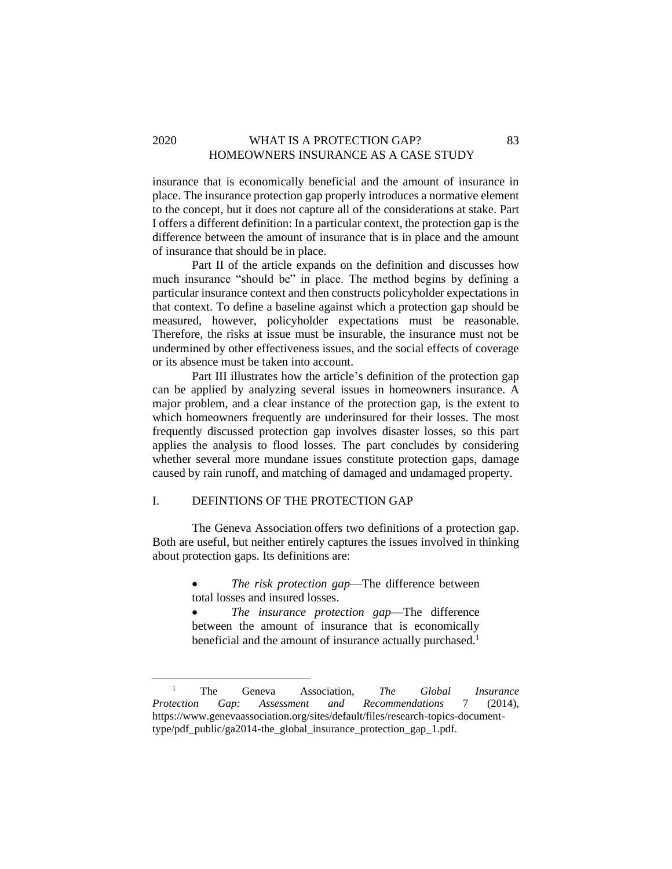# 2020 WHAT IS A PROTECTION GAP? 83 HOMEOWNERS INSURANCE AS A CASE STUDY

insurance that is economically beneficial and the amount of insurance in place. The insurance protection gap properly introduces a normative element to the concept, but it does not capture all of the considerations at stake. Part I offers a different definition: In a particular context, the protection gap is the difference between the amount of insurance that is in place and the amount of insurance that should be in place.

Part II of the article expands on the definition and discusses how much insurance "should be" in place. The method begins by defining a particular insurance context and then constructs policyholder expectations in that context. To define a baseline against which a protection gap should be measured, however, policyholder expectations must be reasonable. Therefore, the risks at issue must be insurable, the insurance must not be undermined by other effectiveness issues, and the social effects of coverage or its absence must be taken into account.

Part III illustrates how the article's definition of the protection gap can be applied by analyzing several issues in homeowners insurance. A major problem, and a clear instance of the protection gap, is the extent to which homeowners frequently are underinsured for their losses. The most frequently discussed protection gap involves disaster losses, so this part applies the analysis to flood losses. The part concludes by considering whether several more mundane issues constitute protection gaps, damage caused by rain runoff, and matching of damaged and undamaged property.

# <span id="page-1-0"></span>I. DEFINTIONS OF THE PROTECTION GAP

The Geneva Association offers two definitions of a protection gap. Both are useful, but neither entirely captures the issues involved in thinking about protection gaps. Its definitions are:

- The risk protection gap—The difference between total losses and insured losses.
- *The insurance protection gap*—The difference between the amount of insurance that is economically beneficial and the amount of insurance actually purchased.<sup>1</sup>

<sup>1</sup> The Geneva Association, *The Global Insurance Protection Gap: Assessment and Recommendations* 7 (2014), https://www.genevaassociation.org/sites/default/files/research-topics-documenttype/pdf\_public/ga2014-the\_global\_insurance\_protection\_gap\_1.pdf.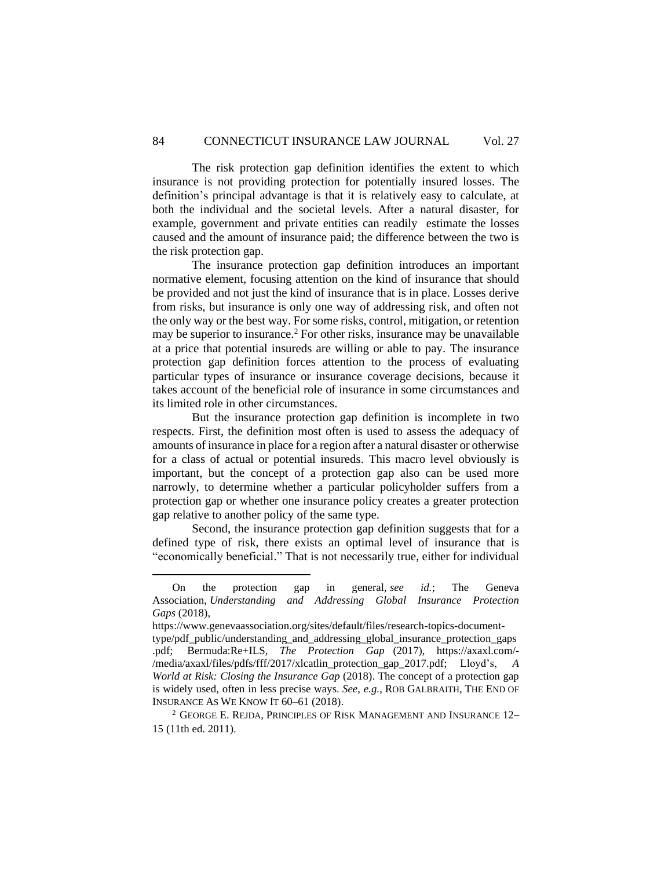The risk protection gap definition identifies the extent to which insurance is not providing protection for potentially insured losses. The definition's principal advantage is that it is relatively easy to calculate, at both the individual and the societal levels. After a natural disaster, for example, government and private entities can readily estimate the losses caused and the amount of insurance paid; the difference between the two is the risk protection gap.

The insurance protection gap definition introduces an important normative element, focusing attention on the kind of insurance that should be provided and not just the kind of insurance that is in place. Losses derive from risks, but insurance is only one way of addressing risk, and often not the only way or the best way. For some risks, control, mitigation, or retention may be superior to insurance.<sup>2</sup> For other risks, insurance may be unavailable at a price that potential insureds are willing or able to pay. The insurance protection gap definition forces attention to the process of evaluating particular types of insurance or insurance coverage decisions, because it takes account of the beneficial role of insurance in some circumstances and its limited role in other circumstances.

But the insurance protection gap definition is incomplete in two respects. First, the definition most often is used to assess the adequacy of amounts of insurance in place for a region after a natural disaster or otherwise for a class of actual or potential insureds. This macro level obviously is important, but the concept of a protection gap also can be used more narrowly, to determine whether a particular policyholder suffers from a protection gap or whether one insurance policy creates a greater protection gap relative to another policy of the same type.

Second, the insurance protection gap definition suggests that for a defined type of risk, there exists an optimal level of insurance that is "economically beneficial." That is not necessarily true, either for individual

On the protection gap in general, *see id.*; The Geneva Association, *Understanding and Addressing Global Insurance Protection Gaps* (2018),

https://www.genevaassociation.org/sites/default/files/research-topics-documenttype/pdf\_public/understanding\_and\_addressing\_global\_insurance\_protection\_gaps .pdf; Bermuda:Re+ILS, *The Protection Gap* (2017), https://axaxl.com/- /media/axaxl/files/pdfs/fff/2017/xlcatlin\_protection\_gap\_2017.pdf; Lloyd's, *A World at Risk: Closing the Insurance Gap* (2018). The concept of a protection gap is widely used, often in less precise ways. *See*, *e.g.*, ROB GALBRAITH, THE END OF INSURANCE AS WE KNOW IT 60–61 (2018).

<sup>2</sup> GEORGE E. REJDA, PRINCIPLES OF RISK MANAGEMENT AND INSURANCE 12– 15 (11th ed. 2011).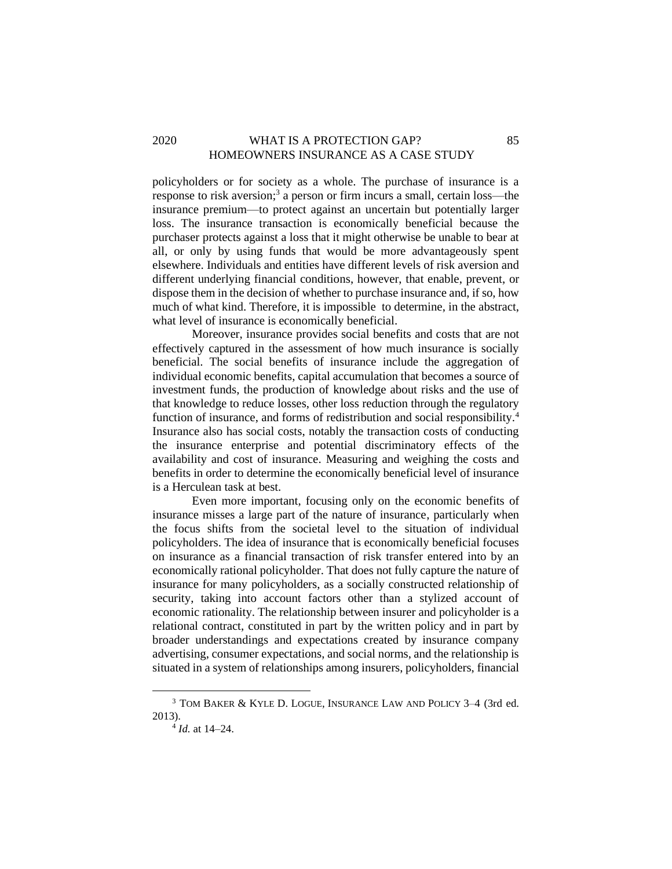# 2020 WHAT IS A PROTECTION GAP? 85 HOMEOWNERS INSURANCE AS A CASE STUDY

policyholders or for society as a whole. The purchase of insurance is a response to risk aversion;<sup>3</sup> a person or firm incurs a small, certain loss—the insurance premium—to protect against an uncertain but potentially larger loss. The insurance transaction is economically beneficial because the purchaser protects against a loss that it might otherwise be unable to bear at all, or only by using funds that would be more advantageously spent elsewhere. Individuals and entities have different levels of risk aversion and different underlying financial conditions, however, that enable, prevent, or dispose them in the decision of whether to purchase insurance and, if so, how much of what kind. Therefore, it is impossible to determine, in the abstract, what level of insurance is economically beneficial.

Moreover, insurance provides social benefits and costs that are not effectively captured in the assessment of how much insurance is socially beneficial. The social benefits of insurance include the aggregation of individual economic benefits, capital accumulation that becomes a source of investment funds, the production of knowledge about risks and the use of that knowledge to reduce losses, other loss reduction through the regulatory function of insurance, and forms of redistribution and social responsibility.<sup>4</sup> Insurance also has social costs, notably the transaction costs of conducting the insurance enterprise and potential discriminatory effects of the availability and cost of insurance. Measuring and weighing the costs and benefits in order to determine the economically beneficial level of insurance is a Herculean task at best.

Even more important, focusing only on the economic benefits of insurance misses a large part of the nature of insurance, particularly when the focus shifts from the societal level to the situation of individual policyholders. The idea of insurance that is economically beneficial focuses on insurance as a financial transaction of risk transfer entered into by an economically rational policyholder. That does not fully capture the nature of insurance for many policyholders, as a socially constructed relationship of security, taking into account factors other than a stylized account of economic rationality. The relationship between insurer and policyholder is a relational contract, constituted in part by the written policy and in part by broader understandings and expectations created by insurance company advertising, consumer expectations, and social norms, and the relationship is situated in a system of relationships among insurers, policyholders, financial

<sup>3</sup> TOM BAKER & KYLE D. LOGUE, INSURANCE LAW AND POLICY 3–4 (3rd ed. 2013).

<sup>4</sup> *Id.* at 14–24.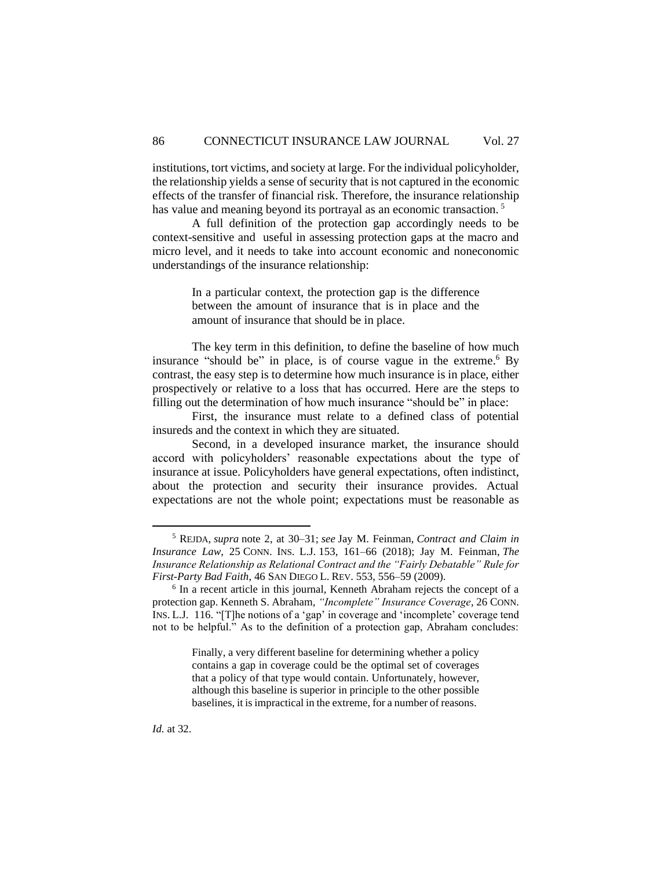institutions, tort victims, and society at large. For the individual policyholder, the relationship yields a sense of security that is not captured in the economic effects of the transfer of financial risk. Therefore, the insurance relationship has value and meaning beyond its portrayal as an economic transaction.<sup>5</sup>

A full definition of the protection gap accordingly needs to be context-sensitive and useful in assessing protection gaps at the macro and micro level, and it needs to take into account economic and noneconomic understandings of the insurance relationship:

> In a particular context, the protection gap is the difference between the amount of insurance that is in place and the amount of insurance that should be in place.

The key term in this definition, to define the baseline of how much insurance "should be" in place, is of course vague in the extreme. <sup>6</sup> By contrast, the easy step is to determine how much insurance is in place, either prospectively or relative to a loss that has occurred. Here are the steps to filling out the determination of how much insurance "should be" in place:

First, the insurance must relate to a defined class of potential insureds and the context in which they are situated.

Second, in a developed insurance market, the insurance should accord with policyholders' reasonable expectations about the type of insurance at issue. Policyholders have general expectations, often indistinct, about the protection and security their insurance provides. Actual expectations are not the whole point; expectations must be reasonable as

Finally, a very different baseline for determining whether a policy contains a gap in coverage could be the optimal set of coverages that a policy of that type would contain. Unfortunately, however, although this baseline is superior in principle to the other possible baselines, it is impractical in the extreme, for a number of reasons.

<sup>5</sup> REJDA, *supra* note 2, at 30–31; *see* Jay M. Feinman, *Contract and Claim in Insurance Law*, 25 CONN. INS. L.J. 153, 161–66 (2018); Jay M. Feinman, *The Insurance Relationship as Relational Contract and the "Fairly Debatable" Rule for First-Party Bad Faith*, 46 SAN DIEGO L. REV. 553, 556–59 (2009).

<sup>&</sup>lt;sup>6</sup> In a recent article in this journal, Kenneth Abraham rejects the concept of a protection gap. Kenneth S. Abraham, *"Incomplete" Insurance Coverage*, 26 CONN. INS. L.J. 116. "[T]he notions of a 'gap' in coverage and 'incomplete' coverage tend not to be helpful." As to the definition of a protection gap, Abraham concludes: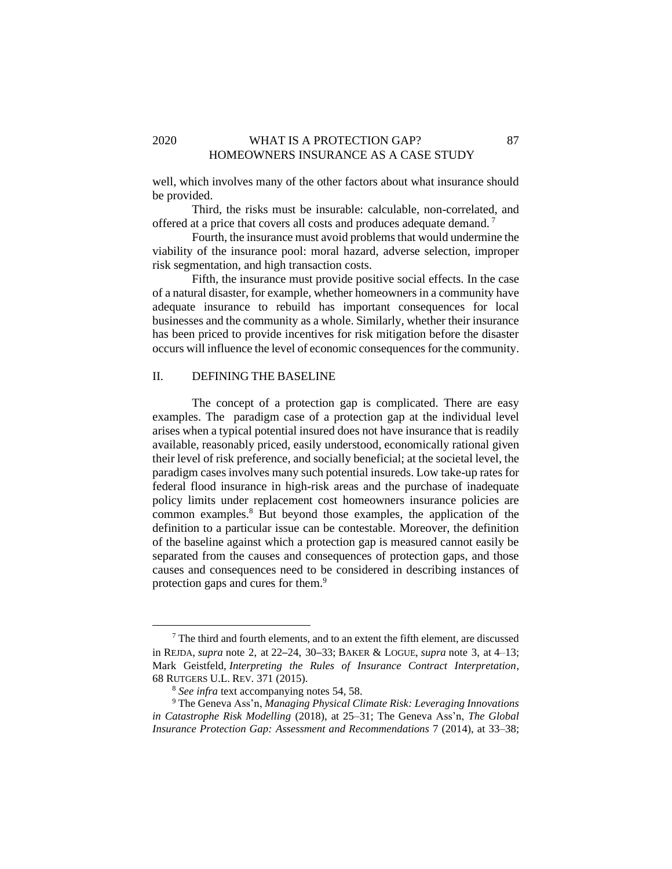### 2020 WHAT IS A PROTECTION GAP? 87 HOMEOWNERS INSURANCE AS A CASE STUDY

well, which involves many of the other factors about what insurance should be provided.

Third, the risks must be insurable: calculable, non-correlated, and offered at a price that covers all costs and produces adequate demand. <sup>7</sup>

Fourth, the insurance must avoid problems that would undermine the viability of the insurance pool: moral hazard, adverse selection, improper risk segmentation, and high transaction costs.

Fifth, the insurance must provide positive social effects. In the case of a natural disaster, for example, whether homeowners in a community have adequate insurance to rebuild has important consequences for local businesses and the community as a whole. Similarly, whether their insurance has been priced to provide incentives for risk mitigation before the disaster occurs will influence the level of economic consequences for the community.

### <span id="page-5-0"></span>II. DEFINING THE BASELINE

The concept of a protection gap is complicated. There are easy examples. The paradigm case of a protection gap at the individual level arises when a typical potential insured does not have insurance that is readily available, reasonably priced, easily understood, economically rational given their level of risk preference, and socially beneficial; at the societal level, the paradigm cases involves many such potential insureds. Low take-up rates for federal flood insurance in high-risk areas and the purchase of inadequate policy limits under replacement cost homeowners insurance policies are common examples.<sup>8</sup> But beyond those examples, the application of the definition to a particular issue can be contestable. Moreover, the definition of the baseline against which a protection gap is measured cannot easily be separated from the causes and consequences of protection gaps, and those causes and consequences need to be considered in describing instances of protection gaps and cures for them.<sup>9</sup>

 $7$  The third and fourth elements, and to an extent the fifth element, are discussed in REJDA, *supra* note 2, at 22–24, 30–33; BAKER & LOGUE, *supra* note 3, at 4–13; Mark Geistfeld, *Interpreting the Rules of Insurance Contract Interpretation*, 68 RUTGERS U.L. REV. 371 (2015).

<sup>8</sup> *See infra* text accompanying notes 54, 58.

<sup>9</sup> The Geneva Ass'n, *Managing Physical Climate Risk: Leveraging Innovations in Catastrophe Risk Modelling* (2018), at 25–31; The Geneva Ass'n, *The Global Insurance Protection Gap: Assessment and Recommendations* 7 (2014), at 33–38;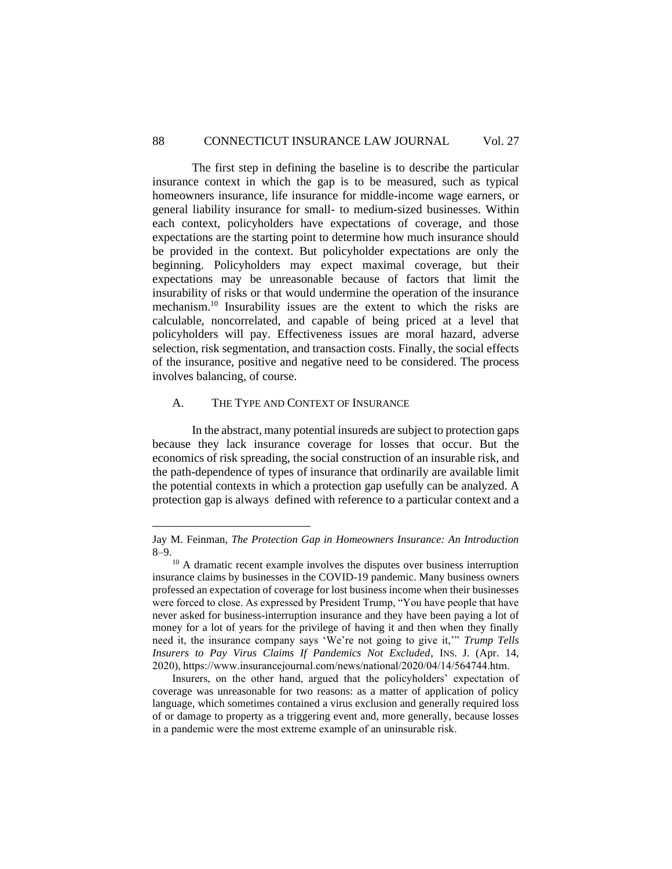The first step in defining the baseline is to describe the particular insurance context in which the gap is to be measured, such as typical homeowners insurance, life insurance for middle-income wage earners, or general liability insurance for small- to medium-sized businesses. Within each context, policyholders have expectations of coverage, and those expectations are the starting point to determine how much insurance should be provided in the context. But policyholder expectations are only the beginning. Policyholders may expect maximal coverage, but their expectations may be unreasonable because of factors that limit the insurability of risks or that would undermine the operation of the insurance mechanism. <sup>10</sup> Insurability issues are the extent to which the risks are calculable, noncorrelated, and capable of being priced at a level that policyholders will pay. Effectiveness issues are moral hazard, adverse selection, risk segmentation, and transaction costs. Finally, the social effects of the insurance, positive and negative need to be considered. The process involves balancing, of course.

### <span id="page-6-0"></span>A. THE TYPE AND CONTEXT OF INSURANCE

In the abstract, many potential insureds are subject to protection gaps because they lack insurance coverage for losses that occur. But the economics of risk spreading, the social construction of an insurable risk, and the path-dependence of types of insurance that ordinarily are available limit the potential contexts in which a protection gap usefully can be analyzed. A protection gap is always defined with reference to a particular context and a

Jay M. Feinman, *The Protection Gap in Homeowners Insurance: An Introduction* 8–9.

<sup>&</sup>lt;sup>10</sup> A dramatic recent example involves the disputes over business interruption insurance claims by businesses in the COVID-19 pandemic. Many business owners professed an expectation of coverage for lost business income when their businesses were forced to close. As expressed by President Trump, "You have people that have never asked for business-interruption insurance and they have been paying a lot of money for a lot of years for the privilege of having it and then when they finally need it, the insurance company says 'We're not going to give it,'" *Trump Tells Insurers to Pay Virus Claims If Pandemics Not Excluded*, INS. J. (Apr. 14, 2020), https://www.insurancejournal.com/news/national/2020/04/14/564744.htm. 

Insurers, on the other hand, argued that the policyholders' expectation of coverage was unreasonable for two reasons: as a matter of application of policy language, which sometimes contained a virus exclusion and generally required loss of or damage to property as a triggering event and, more generally, because losses in a pandemic were the most extreme example of an uninsurable risk.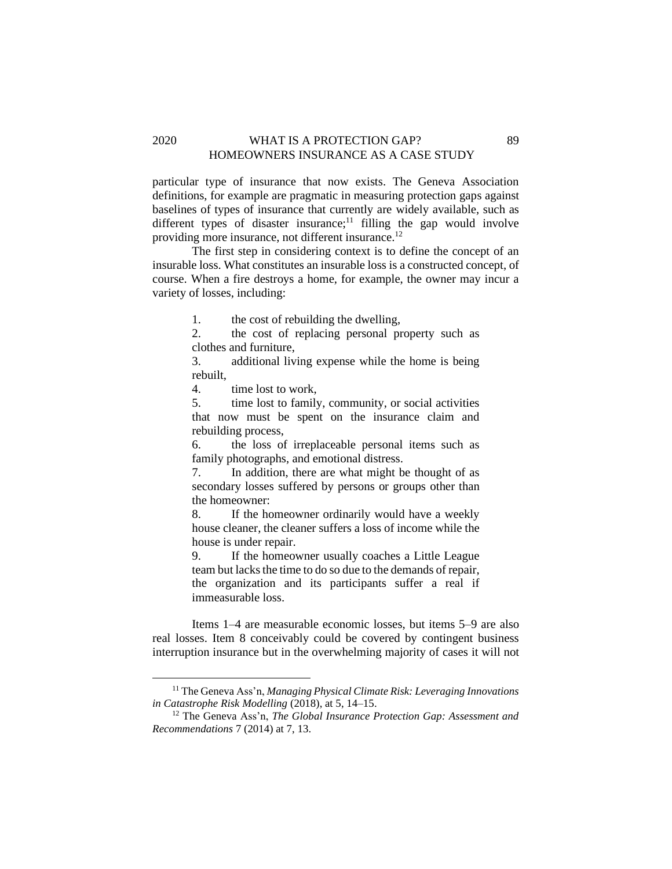### 2020 WHAT IS A PROTECTION GAP? 89 HOMEOWNERS INSURANCE AS A CASE STUDY

particular type of insurance that now exists. The Geneva Association definitions, for example are pragmatic in measuring protection gaps against baselines of types of insurance that currently are widely available, such as different types of disaster insurance;<sup>11</sup> filling the gap would involve providing more insurance, not different insurance.<sup>12</sup>

The first step in considering context is to define the concept of an insurable loss. What constitutes an insurable loss is a constructed concept, of course. When a fire destroys a home, for example, the owner may incur a variety of losses, including:

1. the cost of rebuilding the dwelling,

2. the cost of replacing personal property such as clothes and furniture,

3. additional living expense while the home is being rebuilt,

4. time lost to work,

5. time lost to family, community, or social activities that now must be spent on the insurance claim and rebuilding process,

6. the loss of irreplaceable personal items such as family photographs, and emotional distress.

7. In addition, there are what might be thought of as secondary losses suffered by persons or groups other than the homeowner:

8. If the homeowner ordinarily would have a weekly house cleaner, the cleaner suffers a loss of income while the house is under repair.

9. If the homeowner usually coaches a Little League team but lacks the time to do so due to the demands of repair, the organization and its participants suffer a real if immeasurable loss.

Items 1–4 are measurable economic losses, but items 5–9 are also real losses. Item 8 conceivably could be covered by contingent business interruption insurance but in the overwhelming majority of cases it will not

<sup>11</sup> The Geneva Ass'n, *Managing Physical Climate Risk: Leveraging Innovations in Catastrophe Risk Modelling* (2018), at 5, 14–15.

<sup>12</sup> The Geneva Ass'n, *The Global Insurance Protection Gap: Assessment and Recommendations* 7 (2014) at 7, 13.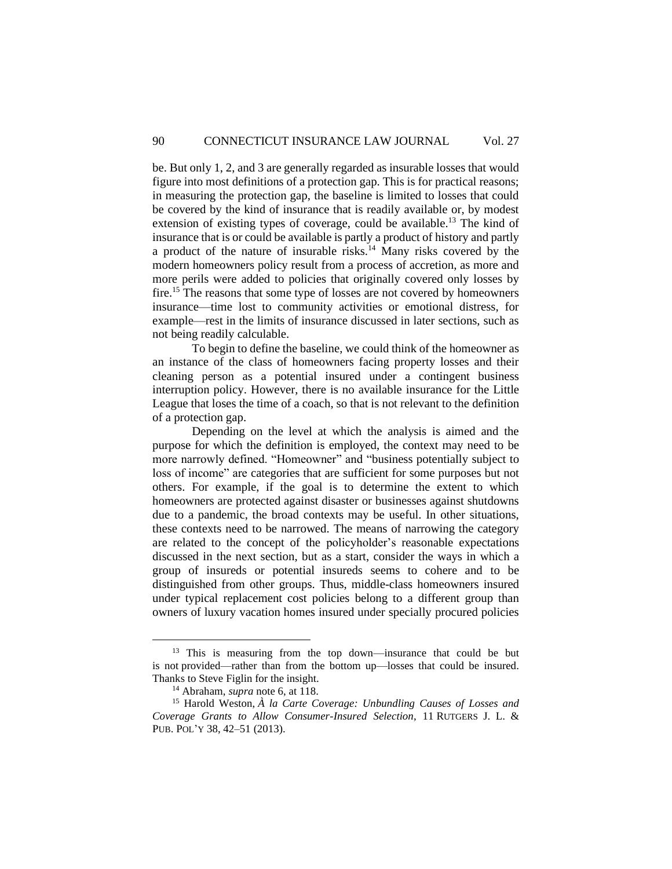be. But only 1, 2, and 3 are generally regarded as insurable losses that would figure into most definitions of a protection gap. This is for practical reasons; in measuring the protection gap, the baseline is limited to losses that could be covered by the kind of insurance that is readily available or, by modest extension of existing types of coverage, could be available.<sup>13</sup> The kind of insurance that is or could be available is partly a product of history and partly a product of the nature of insurable risks.<sup>14</sup> Many risks covered by the modern homeowners policy result from a process of accretion, as more and more perils were added to policies that originally covered only losses by fire.<sup>15</sup> The reasons that some type of losses are not covered by homeowners insurance—time lost to community activities or emotional distress, for example—rest in the limits of insurance discussed in later sections, such as not being readily calculable.

To begin to define the baseline, we could think of the homeowner as an instance of the class of homeowners facing property losses and their cleaning person as a potential insured under a contingent business interruption policy. However, there is no available insurance for the Little League that loses the time of a coach, so that is not relevant to the definition of a protection gap.

Depending on the level at which the analysis is aimed and the purpose for which the definition is employed, the context may need to be more narrowly defined. "Homeowner" and "business potentially subject to loss of income" are categories that are sufficient for some purposes but not others. For example, if the goal is to determine the extent to which homeowners are protected against disaster or businesses against shutdowns due to a pandemic, the broad contexts may be useful. In other situations, these contexts need to be narrowed. The means of narrowing the category are related to the concept of the policyholder's reasonable expectations discussed in the next section, but as a start, consider the ways in which a group of insureds or potential insureds seems to cohere and to be distinguished from other groups. Thus, middle-class homeowners insured under typical replacement cost policies belong to a different group than owners of luxury vacation homes insured under specially procured policies

<sup>&</sup>lt;sup>13</sup> This is measuring from the top down—insurance that could be but is not provided—rather than from the bottom up—losses that could be insured. Thanks to Steve Figlin for the insight.

<sup>14</sup> Abraham, *supra* note 6, at 118.

<sup>15</sup> Harold Weston, *À la Carte Coverage: Unbundling Causes of Losses and Coverage Grants to Allow Consumer-Insured Selection*, 11 RUTGERS J. L. & PUB. POL'Y 38, 42–51 (2013).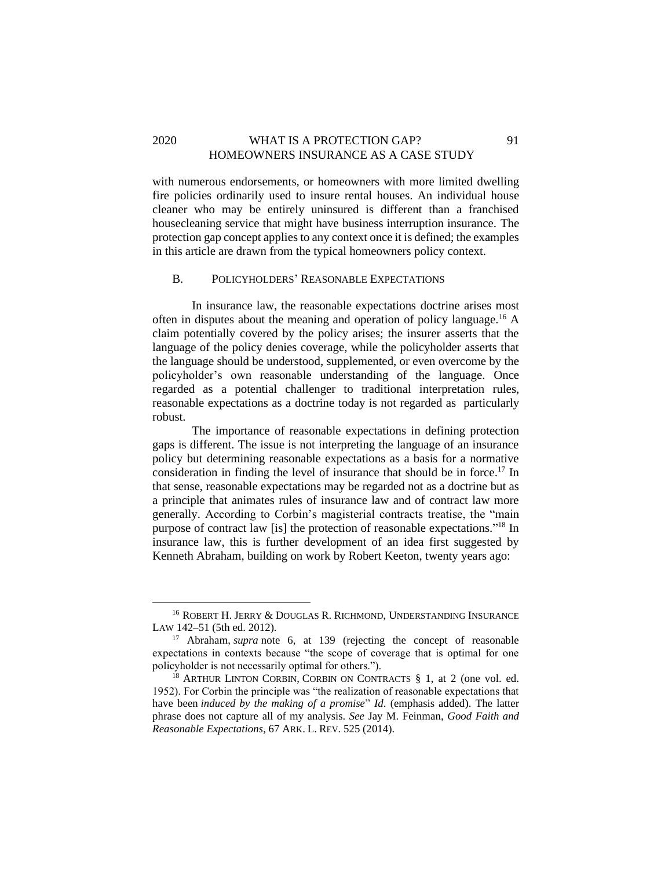### 2020 WHAT IS A PROTECTION GAP? 91 HOMEOWNERS INSURANCE AS A CASE STUDY

with numerous endorsements, or homeowners with more limited dwelling fire policies ordinarily used to insure rental houses. An individual house cleaner who may be entirely uninsured is different than a franchised housecleaning service that might have business interruption insurance. The protection gap concept applies to any context once it is defined; the examples in this article are drawn from the typical homeowners policy context.

# <span id="page-9-0"></span>B. POLICYHOLDERS' REASONABLE EXPECTATIONS

In insurance law, the reasonable expectations doctrine arises most often in disputes about the meaning and operation of policy language.<sup>16</sup> A claim potentially covered by the policy arises; the insurer asserts that the language of the policy denies coverage, while the policyholder asserts that the language should be understood, supplemented, or even overcome by the policyholder's own reasonable understanding of the language. Once regarded as a potential challenger to traditional interpretation rules, reasonable expectations as a doctrine today is not regarded as particularly robust.

The importance of reasonable expectations in defining protection gaps is different. The issue is not interpreting the language of an insurance policy but determining reasonable expectations as a basis for a normative consideration in finding the level of insurance that should be in force. <sup>17</sup> In that sense, reasonable expectations may be regarded not as a doctrine but as a principle that animates rules of insurance law and of contract law more generally. According to Corbin's magisterial contracts treatise, the "main purpose of contract law [is] the protection of reasonable expectations." <sup>18</sup> In insurance law, this is further development of an idea first suggested by Kenneth Abraham, building on work by Robert Keeton, twenty years ago:

<sup>&</sup>lt;sup>16</sup> ROBERT H. JERRY & DOUGLAS R. RICHMOND, UNDERSTANDING INSURANCE LAW 142–51 (5th ed. 2012).

<sup>17</sup> Abraham, *supra* note 6, at 139 (rejecting the concept of reasonable expectations in contexts because "the scope of coverage that is optimal for one policyholder is not necessarily optimal for others.").

 $18$  ARTHUR LINTON CORBIN, CORBIN ON CONTRACTS § 1, at 2 (one vol. ed. 1952). For Corbin the principle was "the realization of reasonable expectations that have been *induced by the making of a promise*" *Id*. (emphasis added). The latter phrase does not capture all of my analysis. *See* Jay M. Feinman, *Good Faith and Reasonable Expectations*, 67 ARK. L. REV. 525 (2014).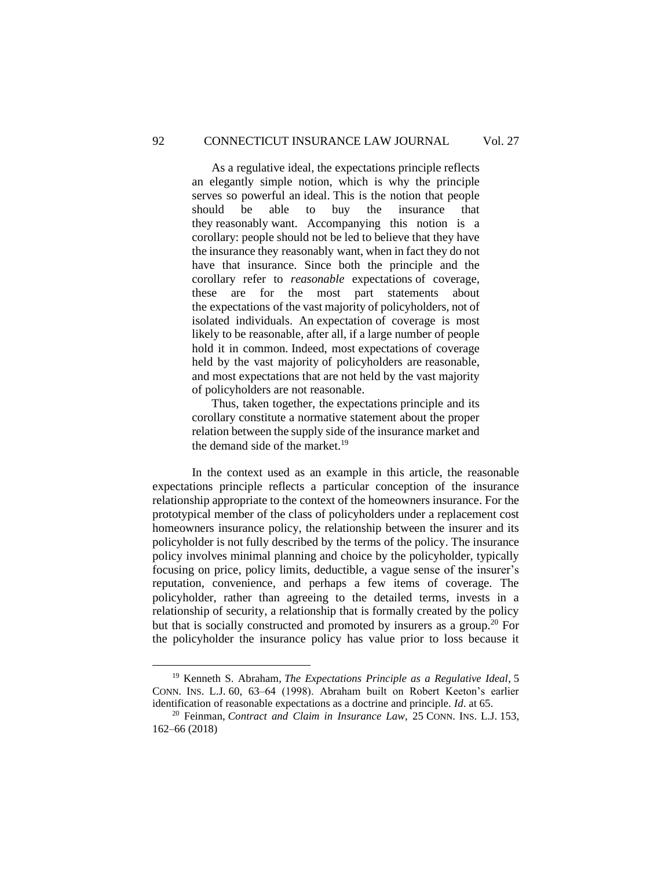As a regulative ideal, the expectations principle reflects an elegantly simple notion, which is why the principle serves so powerful an ideal. This is the notion that people should be able to buy the insurance that they reasonably want. Accompanying this notion is a corollary: people should not be led to believe that they have the insurance they reasonably want, when in fact they do not have that insurance. Since both the principle and the corollary refer to *reasonable* expectations of coverage, these are for the most part statements about the expectations of the vast majority of policyholders, not of isolated individuals. An expectation of coverage is most likely to be reasonable, after all, if a large number of people hold it in common. Indeed, most expectations of coverage held by the vast majority of policyholders are reasonable, and most expectations that are not held by the vast majority of policyholders are not reasonable.

Thus, taken together, the expectations principle and its corollary constitute a normative statement about the proper relation between the supply side of the insurance market and the demand side of the market. $19$ 

In the context used as an example in this article, the reasonable expectations principle reflects a particular conception of the insurance relationship appropriate to the context of the homeowners insurance. For the prototypical member of the class of policyholders under a replacement cost homeowners insurance policy, the relationship between the insurer and its policyholder is not fully described by the terms of the policy. The insurance policy involves minimal planning and choice by the policyholder, typically focusing on price, policy limits, deductible, a vague sense of the insurer's reputation, convenience, and perhaps a few items of coverage. The policyholder, rather than agreeing to the detailed terms, invests in a relationship of security, a relationship that is formally created by the policy but that is socially constructed and promoted by insurers as a group.<sup>20</sup> For the policyholder the insurance policy has value prior to loss because it

<sup>19</sup> Kenneth S. Abraham, *The Expectations Principle as a Regulative Ideal*, 5 CONN. INS. L.J. 60, 63–64 (1998). Abraham built on Robert Keeton's earlier identification of reasonable expectations as a doctrine and principle. *Id*. at 65.

<sup>20</sup> Feinman, *Contract and Claim in Insurance Law*, 25 CONN. INS. L.J. 153, 162–66 (2018)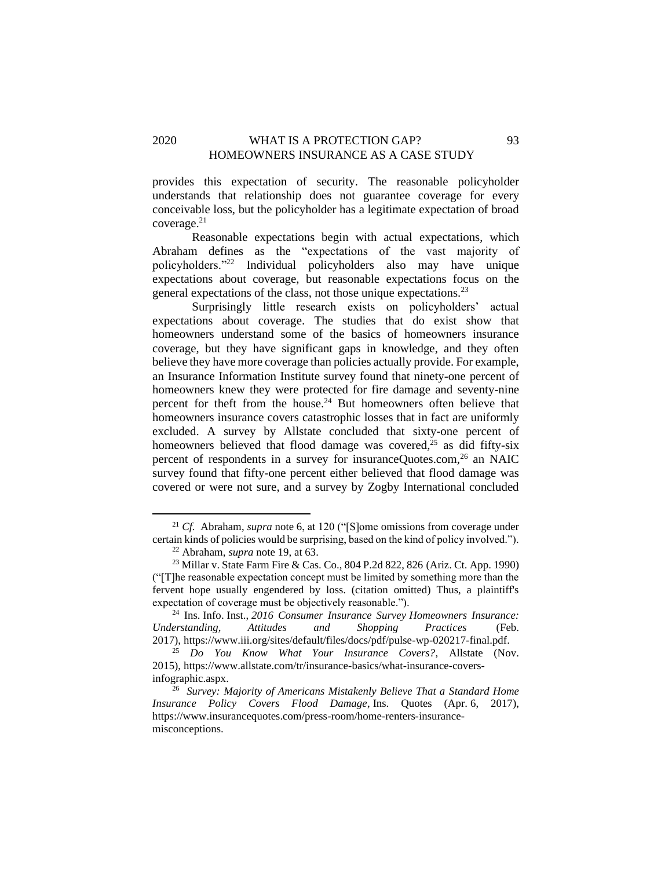## 2020 WHAT IS A PROTECTION GAP? 93 HOMEOWNERS INSURANCE AS A CASE STUDY

provides this expectation of security. The reasonable policyholder understands that relationship does not guarantee coverage for every conceivable loss, but the policyholder has a legitimate expectation of broad  $coverage.<sup>21</sup>$ 

Reasonable expectations begin with actual expectations, which Abraham defines as the "expectations of the vast majority of policyholders."<sup>22</sup> Individual policyholders also may have unique expectations about coverage, but reasonable expectations focus on the general expectations of the class, not those unique expectations.<sup>23</sup>

Surprisingly little research exists on policyholders' actual expectations about coverage. The studies that do exist show that homeowners understand some of the basics of homeowners insurance coverage, but they have significant gaps in knowledge, and they often believe they have more coverage than policies actually provide. For example, an Insurance Information Institute survey found that ninety-one percent of homeowners knew they were protected for fire damage and seventy-nine percent for theft from the house.<sup>24</sup> But homeowners often believe that homeowners insurance covers catastrophic losses that in fact are uniformly excluded. A survey by Allstate concluded that sixty-one percent of homeowners believed that flood damage was covered,<sup>25</sup> as did fifty-six percent of respondents in a survey for insuranceQuotes.com,<sup>26</sup> an NAIC survey found that fifty-one percent either believed that flood damage was covered or were not sure, and a survey by Zogby International concluded

<sup>21</sup> *Cf.* Abraham, *supra* note 6, at 120 ("[S]ome omissions from coverage under certain kinds of policies would be surprising, based on the kind of policy involved.").

<sup>22</sup> Abraham, *supra* note 19, at 63.

<sup>23</sup> Millar v. State Farm Fire & Cas. Co., 804 P.2d 822, 826 (Ariz. Ct. App. 1990) ("[T]he reasonable expectation concept must be limited by something more than the fervent hope usually engendered by loss. (citation omitted) Thus, a plaintiff's expectation of coverage must be objectively reasonable.").

<sup>24</sup> Ins. Info. Inst., *2016 Consumer Insurance Survey Homeowners Insurance: Understanding, Attitudes and Shopping Practices* (Feb. 2017), https://www.iii.org/sites/default/files/docs/pdf/pulse-wp-020217-final.pdf.

<sup>25</sup> *Do You Know What Your Insurance Covers?*, Allstate (Nov. 2015), [https://www.allstate.com/tr/insurance-basics/what-insurance-covers](https://www.allstate.com/tr/insurance-basics/what-insurance-covers-infographic.aspx)[infographic.aspx.](https://www.allstate.com/tr/insurance-basics/what-insurance-covers-infographic.aspx)

<sup>26</sup> *Survey: Majority of Americans Mistakenly Believe That a Standard Home Insurance Policy Covers Flood Damage*, Ins. Quotes (Apr. 6, 2017), https://www.insurancequotes.com/press-room/home-renters-insurancemisconceptions.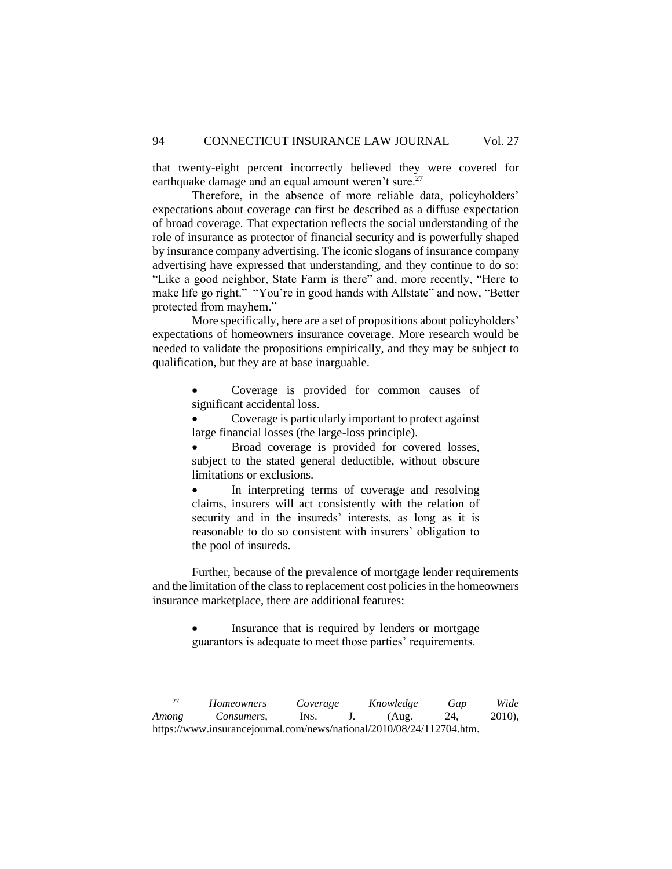that twenty-eight percent incorrectly believed they were covered for earthquake damage and an equal amount weren't sure.<sup>27</sup>

Therefore, in the absence of more reliable data, policyholders' expectations about coverage can first be described as a diffuse expectation of broad coverage. That expectation reflects the social understanding of the role of insurance as protector of financial security and is powerfully shaped by insurance company advertising. The iconic slogans of insurance company advertising have expressed that understanding, and they continue to do so: "Like a good neighbor, State Farm is there" and, more recently, "Here to make life go right." "You're in good hands with Allstate" and now, "Better protected from mayhem."

More specifically, here are a set of propositions about policyholders' expectations of homeowners insurance coverage. More research would be needed to validate the propositions empirically, and they may be subject to qualification, but they are at base inarguable.

> • Coverage is provided for common causes of significant accidental loss.

> • Coverage is particularly important to protect against large financial losses (the large-loss principle).

> Broad coverage is provided for covered losses, subject to the stated general deductible, without obscure limitations or exclusions.

> • In interpreting terms of coverage and resolving claims, insurers will act consistently with the relation of security and in the insureds' interests, as long as it is reasonable to do so consistent with insurers' obligation to the pool of insureds.

Further, because of the prevalence of mortgage lender requirements and the limitation of the class to replacement cost policies in the homeowners insurance marketplace, there are additional features:

> Insurance that is required by lenders or mortgage guarantors is adequate to meet those parties' requirements.

<sup>27</sup> *Homeowners Coverage Knowledge Gap Wide Among Consumers*, INS. J. (Aug. 24, 2010), https://www.insurancejournal.com/news/national/2010/08/24/112704.htm.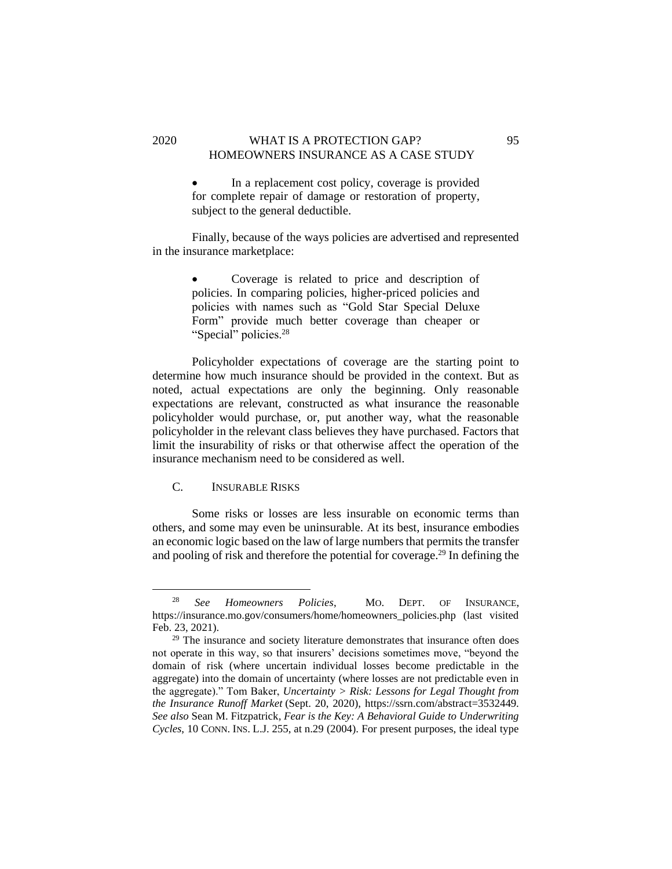### 2020 WHAT IS A PROTECTION GAP? 95 HOMEOWNERS INSURANCE AS A CASE STUDY

In a replacement cost policy, coverage is provided for complete repair of damage or restoration of property, subject to the general deductible.

Finally, because of the ways policies are advertised and represented in the insurance marketplace:

> Coverage is related to price and description of policies. In comparing policies, higher-priced policies and policies with names such as "Gold Star Special Deluxe Form" provide much better coverage than cheaper or "Special" policies.<sup>28</sup>

Policyholder expectations of coverage are the starting point to determine how much insurance should be provided in the context. But as noted, actual expectations are only the beginning. Only reasonable expectations are relevant, constructed as what insurance the reasonable policyholder would purchase, or, put another way, what the reasonable policyholder in the relevant class believes they have purchased. Factors that limit the insurability of risks or that otherwise affect the operation of the insurance mechanism need to be considered as well.

### <span id="page-13-0"></span>C. INSURABLE RISKS

Some risks or losses are less insurable on economic terms than others, and some may even be uninsurable. At its best, insurance embodies an economic logic based on the law of large numbers that permits the transfer and pooling of risk and therefore the potential for coverage.<sup>29</sup> In defining the

<sup>28</sup> *See Homeowners Policies*, MO. DEPT. OF INSURANCE, https://insurance.mo.gov/consumers/home/homeowners\_policies.php (last visited Feb. 23, 2021).

 $29$  The insurance and society literature demonstrates that insurance often does not operate in this way, so that insurers' decisions sometimes move, "beyond the domain of risk (where uncertain individual losses become predictable in the aggregate) into the domain of uncertainty (where losses are not predictable even in the aggregate)." Tom Baker, *Uncertainty > Risk: Lessons for Legal Thought from the Insurance Runoff Market* (Sept. 20, 2020), https://ssrn.com/abstract=3532449. *See also* Sean M. Fitzpatrick*, Fear is the Key: A Behavioral Guide to Underwriting Cycles*, 10 CONN. INS. L.J. 255, at n.29 (2004). For present purposes, the ideal type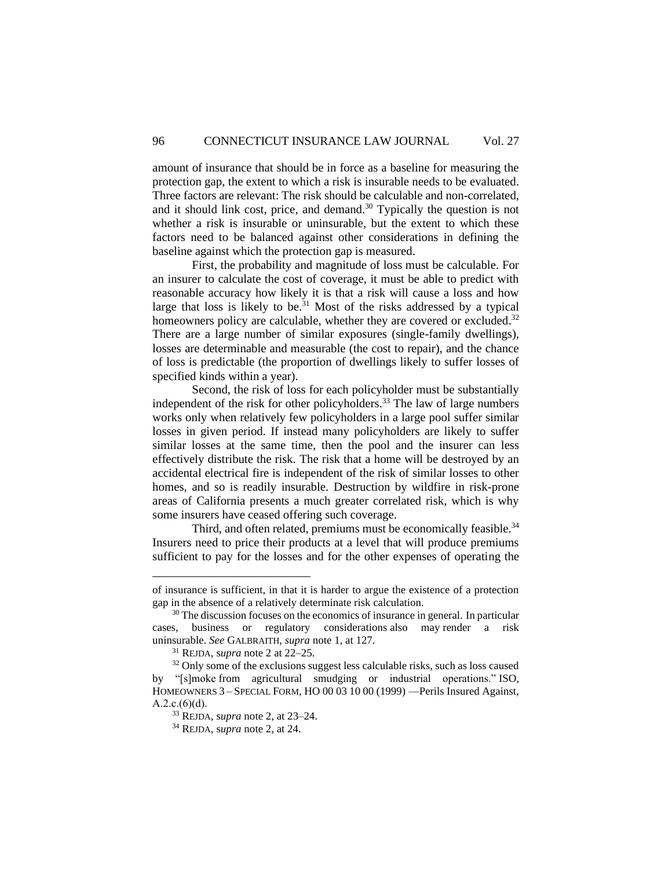amount of insurance that should be in force as a baseline for measuring the protection gap, the extent to which a risk is insurable needs to be evaluated. Three factors are relevant: The risk should be calculable and non-correlated, and it should link cost, price, and demand. $30$  Typically the question is not whether a risk is insurable or uninsurable, but the extent to which these factors need to be balanced against other considerations in defining the baseline against which the protection gap is measured.

First, the probability and magnitude of loss must be calculable. For an insurer to calculate the cost of coverage, it must be able to predict with reasonable accuracy how likely it is that a risk will cause a loss and how large that loss is likely to be.<sup>31</sup> Most of the risks addressed by a typical homeowners policy are calculable, whether they are covered or excluded.<sup>32</sup> There are a large number of similar exposures (single-family dwellings), losses are determinable and measurable (the cost to repair), and the chance of loss is predictable (the proportion of dwellings likely to suffer losses of specified kinds within a year).

Second, the risk of loss for each policyholder must be substantially independent of the risk for other policyholders.<sup>33</sup> The law of large numbers works only when relatively few policyholders in a large pool suffer similar losses in given period. If instead many policyholders are likely to suffer similar losses at the same time, then the pool and the insurer can less effectively distribute the risk. The risk that a home will be destroyed by an accidental electrical fire is independent of the risk of similar losses to other homes, and so is readily insurable. Destruction by wildfire in risk-prone areas of California presents a much greater correlated risk, which is why some insurers have ceased offering such coverage.

Third, and often related, premiums must be economically feasible.<sup>34</sup> Insurers need to price their products at a level that will produce premiums sufficient to pay for the losses and for the other expenses of operating the

of insurance is sufficient, in that it is harder to argue the existence of a protection gap in the absence of a relatively determinate risk calculation.

<sup>&</sup>lt;sup>30</sup> The discussion focuses on the economics of insurance in general. In particular cases, business or regulatory considerations also may render a risk uninsurable. *See* GALBRAITH, *supra* note 1, at 127.

<sup>31</sup> REJDA, s*upra* note 2 at 22–25.

 $32$  Only some of the exclusions suggest less calculable risks, such as loss caused by "[s]moke from agricultural smudging or industrial operations." ISO, HOMEOWNERS 3 – SPECIAL FORM, HO 00 03 10 00 (1999) —Perils Insured Against,  $A.2.c.(6)(d)$ .

<sup>33</sup> REJDA, s*upra* note 2, at 23–24.

<sup>34</sup> REJDA, s*upra* note 2, at 24.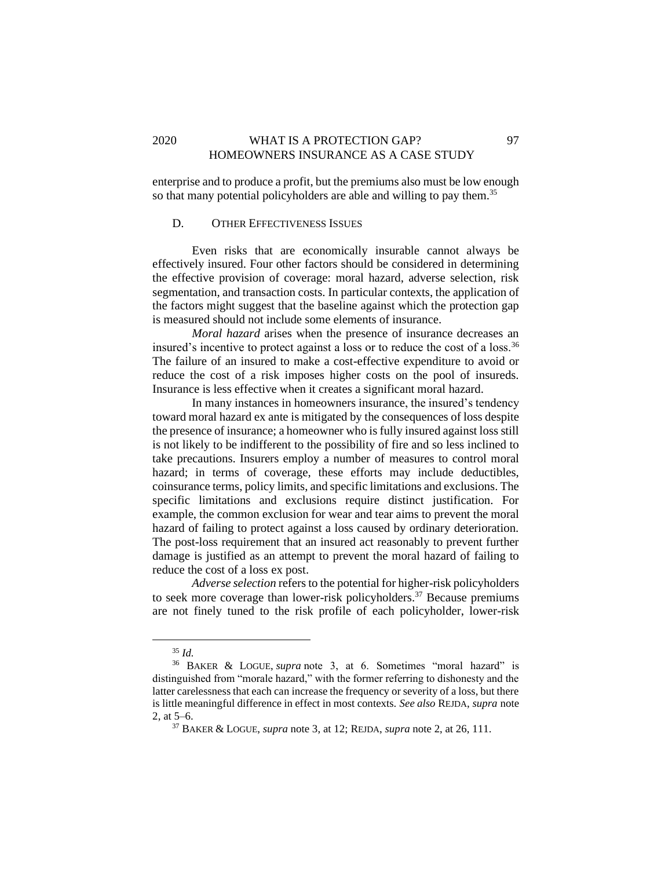# 2020 WHAT IS A PROTECTION GAP? 97 HOMEOWNERS INSURANCE AS A CASE STUDY

enterprise and to produce a profit, but the premiums also must be low enough so that many potential policyholders are able and willing to pay them.<sup>35</sup>

### <span id="page-15-0"></span>D. OTHER EFFECTIVENESS ISSUES

Even risks that are economically insurable cannot always be effectively insured. Four other factors should be considered in determining the effective provision of coverage: moral hazard, adverse selection, risk segmentation, and transaction costs. In particular contexts, the application of the factors might suggest that the baseline against which the protection gap is measured should not include some elements of insurance.

*Moral hazard* arises when the presence of insurance decreases an insured's incentive to protect against a loss or to reduce the cost of a loss.<sup>36</sup> The failure of an insured to make a cost-effective expenditure to avoid or reduce the cost of a risk imposes higher costs on the pool of insureds. Insurance is less effective when it creates a significant moral hazard.

In many instances in homeowners insurance, the insured's tendency toward moral hazard ex ante is mitigated by the consequences of loss despite the presence of insurance; a homeowner who is fully insured against loss still is not likely to be indifferent to the possibility of fire and so less inclined to take precautions. Insurers employ a number of measures to control moral hazard; in terms of coverage, these efforts may include deductibles, coinsurance terms, policy limits, and specific limitations and exclusions. The specific limitations and exclusions require distinct justification. For example, the common exclusion for wear and tear aims to prevent the moral hazard of failing to protect against a loss caused by ordinary deterioration. The post-loss requirement that an insured act reasonably to prevent further damage is justified as an attempt to prevent the moral hazard of failing to reduce the cost of a loss ex post.

*Adverse selection* refers to the potential for higher-risk policyholders to seek more coverage than lower-risk policyholders.<sup>37</sup> Because premiums are not finely tuned to the risk profile of each policyholder, lower-risk

<sup>35</sup> *Id.* 

<sup>36</sup> BAKER & LOGUE, *supra* note 3, at 6. Sometimes "moral hazard" is distinguished from "morale hazard," with the former referring to dishonesty and the latter carelessness that each can increase the frequency or severity of a loss, but there is little meaningful difference in effect in most contexts. *See also* REJDA, *supra* note 2, at 5–6.

<sup>37</sup> BAKER & LOGUE, *supra* note 3, at 12; REJDA, *supra* note 2, at 26, 111.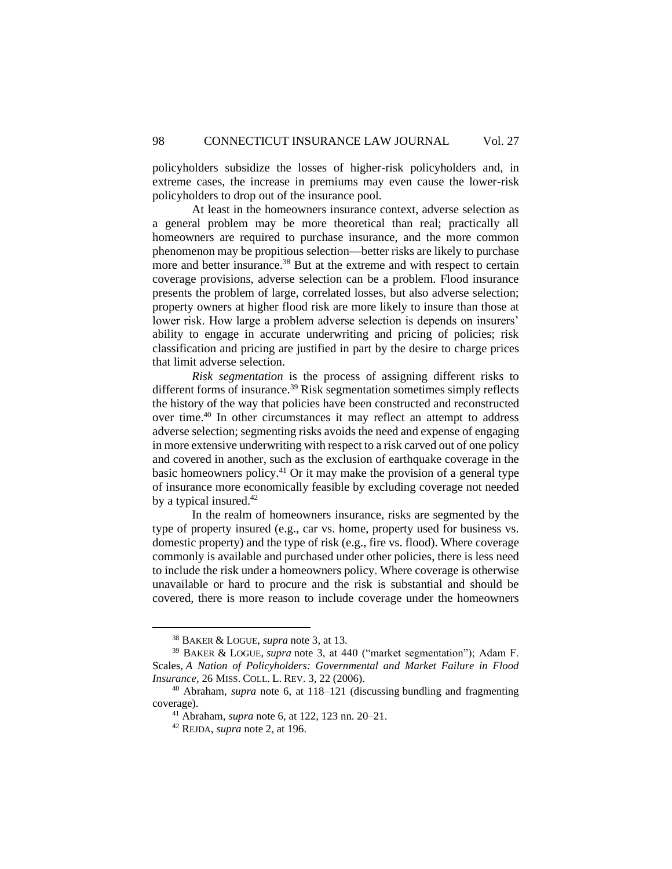policyholders subsidize the losses of higher-risk policyholders and, in extreme cases, the increase in premiums may even cause the lower-risk policyholders to drop out of the insurance pool.

At least in the homeowners insurance context, adverse selection as a general problem may be more theoretical than real; practically all homeowners are required to purchase insurance, and the more common phenomenon may be propitious selection—better risks are likely to purchase more and better insurance.<sup>38</sup> But at the extreme and with respect to certain coverage provisions, adverse selection can be a problem. Flood insurance presents the problem of large, correlated losses, but also adverse selection; property owners at higher flood risk are more likely to insure than those at lower risk. How large a problem adverse selection is depends on insurers' ability to engage in accurate underwriting and pricing of policies; risk classification and pricing are justified in part by the desire to charge prices that limit adverse selection.

*Risk segmentation* is the process of assigning different risks to different forms of insurance.<sup>39</sup> Risk segmentation sometimes simply reflects the history of the way that policies have been constructed and reconstructed over time.<sup>40</sup> In other circumstances it may reflect an attempt to address adverse selection; segmenting risks avoids the need and expense of engaging in more extensive underwriting with respect to a risk carved out of one policy and covered in another, such as the exclusion of earthquake coverage in the basic homeowners policy.<sup>41</sup> Or it may make the provision of a general type of insurance more economically feasible by excluding coverage not needed by a typical insured.<sup>42</sup>

In the realm of homeowners insurance, risks are segmented by the type of property insured (e.g., car vs. home, property used for business vs. domestic property) and the type of risk (e.g., fire vs. flood). Where coverage commonly is available and purchased under other policies, there is less need to include the risk under a homeowners policy. Where coverage is otherwise unavailable or hard to procure and the risk is substantial and should be covered, there is more reason to include coverage under the homeowners

<sup>38</sup> BAKER & LOGUE, *supra* note 3, at 13.

<sup>39</sup> BAKER & LOGUE, *supra* note 3, at 440 ("market segmentation"); Adam F. Scales, *A Nation of Policyholders: Governmental and Market Failure in Flood Insurance*, 26 MISS. COLL. L. REV. 3, 22 (2006).

<sup>40</sup> Abraham, *supra* note 6, at 118–121 (discussing bundling and fragmenting coverage).

<sup>41</sup> Abraham, *supra* note 6, at 122, 123 nn. 20–21.

<sup>42</sup> REJDA, *supra* note 2, at 196.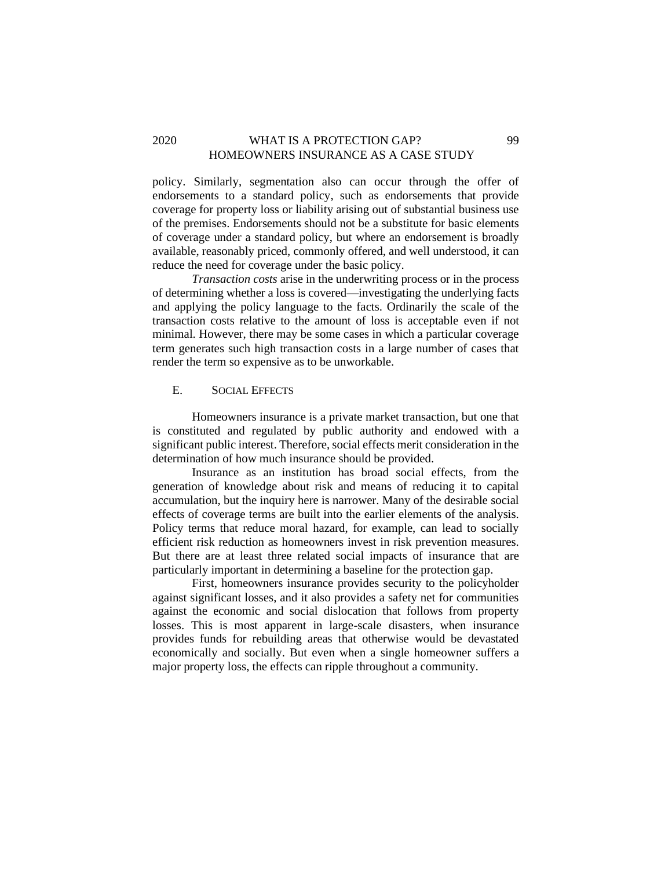### 2020 WHAT IS A PROTECTION GAP? 99 HOMEOWNERS INSURANCE AS A CASE STUDY

policy. Similarly, segmentation also can occur through the offer of endorsements to a standard policy, such as endorsements that provide coverage for property loss or liability arising out of substantial business use of the premises. Endorsements should not be a substitute for basic elements of coverage under a standard policy, but where an endorsement is broadly available, reasonably priced, commonly offered, and well understood, it can reduce the need for coverage under the basic policy.

*Transaction costs* arise in the underwriting process or in the process of determining whether a loss is covered—investigating the underlying facts and applying the policy language to the facts. Ordinarily the scale of the transaction costs relative to the amount of loss is acceptable even if not minimal. However, there may be some cases in which a particular coverage term generates such high transaction costs in a large number of cases that render the term so expensive as to be unworkable.

#### <span id="page-17-0"></span>E. SOCIAL EFFECTS

Homeowners insurance is a private market transaction, but one that is constituted and regulated by public authority and endowed with a significant public interest. Therefore, social effects merit consideration in the determination of how much insurance should be provided.

Insurance as an institution has broad social effects, from the generation of knowledge about risk and means of reducing it to capital accumulation, but the inquiry here is narrower. Many of the desirable social effects of coverage terms are built into the earlier elements of the analysis. Policy terms that reduce moral hazard, for example, can lead to socially efficient risk reduction as homeowners invest in risk prevention measures. But there are at least three related social impacts of insurance that are particularly important in determining a baseline for the protection gap.

First, homeowners insurance provides security to the policyholder against significant losses, and it also provides a safety net for communities against the economic and social dislocation that follows from property losses. This is most apparent in large-scale disasters, when insurance provides funds for rebuilding areas that otherwise would be devastated economically and socially. But even when a single homeowner suffers a major property loss, the effects can ripple throughout a community.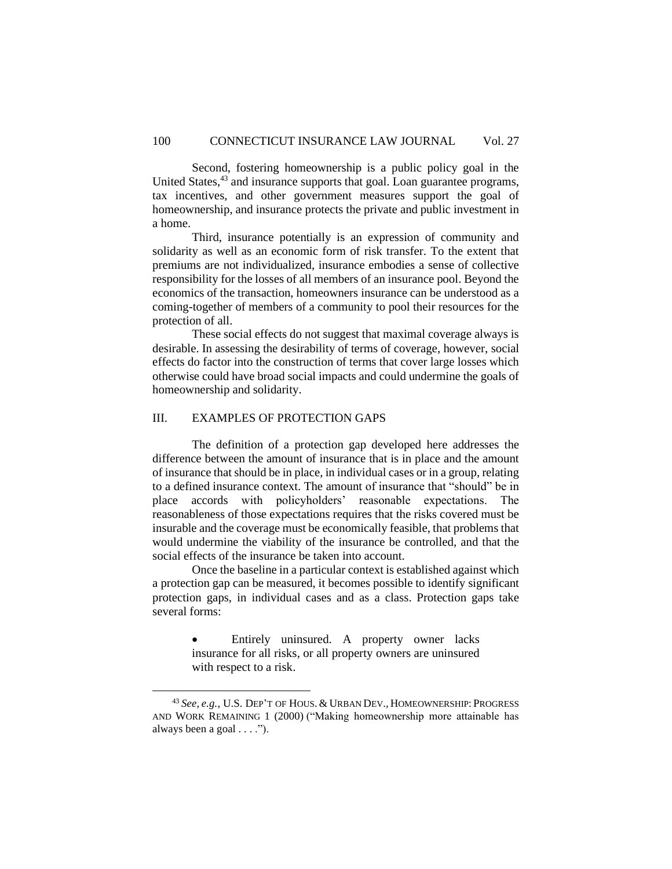Second, fostering homeownership is a public policy goal in the United States,<sup>43</sup> and insurance supports that goal. Loan guarantee programs, tax incentives, and other government measures support the goal of homeownership, and insurance protects the private and public investment in a home.

Third, insurance potentially is an expression of community and solidarity as well as an economic form of risk transfer. To the extent that premiums are not individualized, insurance embodies a sense of collective responsibility for the losses of all members of an insurance pool. Beyond the economics of the transaction, homeowners insurance can be understood as a coming-together of members of a community to pool their resources for the protection of all.

These social effects do not suggest that maximal coverage always is desirable. In assessing the desirability of terms of coverage, however, social effects do factor into the construction of terms that cover large losses which otherwise could have broad social impacts and could undermine the goals of homeownership and solidarity.

### <span id="page-18-0"></span>III. EXAMPLES OF PROTECTION GAPS

The definition of a protection gap developed here addresses the difference between the amount of insurance that is in place and the amount of insurance that should be in place, in individual cases or in a group, relating to a defined insurance context. The amount of insurance that "should" be in place accords with policyholders' reasonable expectations. The reasonableness of those expectations requires that the risks covered must be insurable and the coverage must be economically feasible, that problems that would undermine the viability of the insurance be controlled, and that the social effects of the insurance be taken into account.

Once the baseline in a particular context is established against which a protection gap can be measured, it becomes possible to identify significant protection gaps, in individual cases and as a class. Protection gaps take several forms:

> • Entirely uninsured. A property owner lacks insurance for all risks, or all property owners are uninsured with respect to a risk.

<sup>43</sup> *See, e.g.*, U.S. DEP'T OF HOUS. & URBAN DEV., HOMEOWNERSHIP: PROGRESS AND WORK REMAINING 1 (2000) ("Making homeownership more attainable has always been a goal . . . .").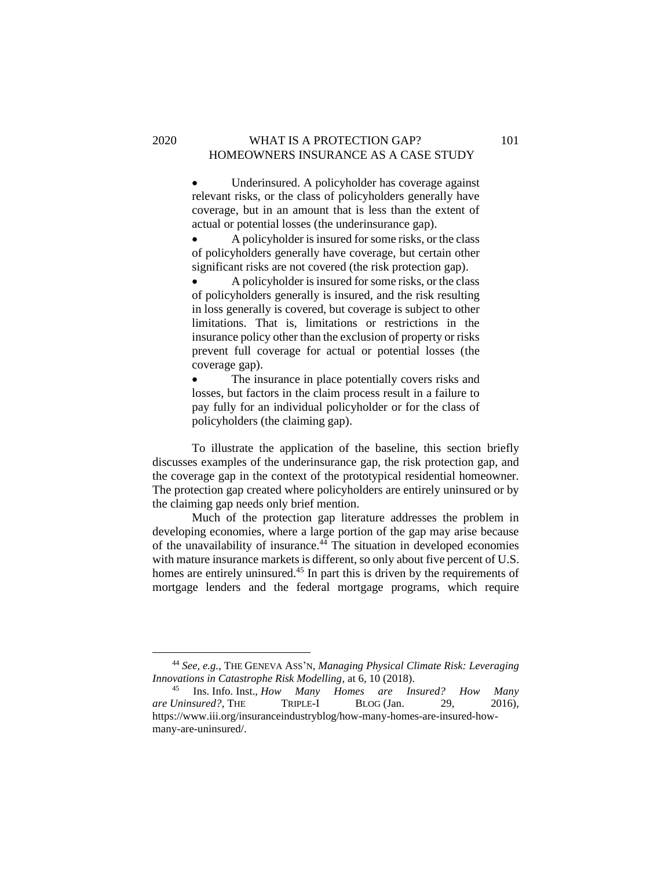### 2020 WHAT IS A PROTECTION GAP? 101 HOMEOWNERS INSURANCE AS A CASE STUDY

• Underinsured. A policyholder has coverage against relevant risks, or the class of policyholders generally have coverage, but in an amount that is less than the extent of actual or potential losses (the underinsurance gap).

• A policyholder is insured for some risks, or the class of policyholders generally have coverage, but certain other significant risks are not covered (the risk protection gap).

• A policyholder is insured for some risks, or the class of policyholders generally is insured, and the risk resulting in loss generally is covered, but coverage is subject to other limitations. That is, limitations or restrictions in the insurance policy other than the exclusion of property or risks prevent full coverage for actual or potential losses (the coverage gap).

• The insurance in place potentially covers risks and losses, but factors in the claim process result in a failure to pay fully for an individual policyholder or for the class of policyholders (the claiming gap).

To illustrate the application of the baseline, this section briefly discusses examples of the underinsurance gap, the risk protection gap, and the coverage gap in the context of the prototypical residential homeowner. The protection gap created where policyholders are entirely uninsured or by the claiming gap needs only brief mention.

Much of the protection gap literature addresses the problem in developing economies, where a large portion of the gap may arise because of the unavailability of insurance.<sup>44</sup> The situation in developed economies with mature insurance markets is different, so only about five percent of U.S. homes are entirely uninsured.<sup>45</sup> In part this is driven by the requirements of mortgage lenders and the federal mortgage programs, which require

<sup>44</sup> *See, e.g.*, THE GENEVA ASS'N, *Managing Physical Climate Risk: Leveraging Innovations in Catastrophe Risk Modelling*, at 6, 10 (2018).

<sup>45</sup> Ins. Info. Inst., *How Many Homes are Insured? How Many are Uninsured?*, THE TRIPLE-I BLOG (Jan. 29, 2016), https://www.iii.org/insuranceindustryblog/how-many-homes-are-insured-howmany-are-uninsured/.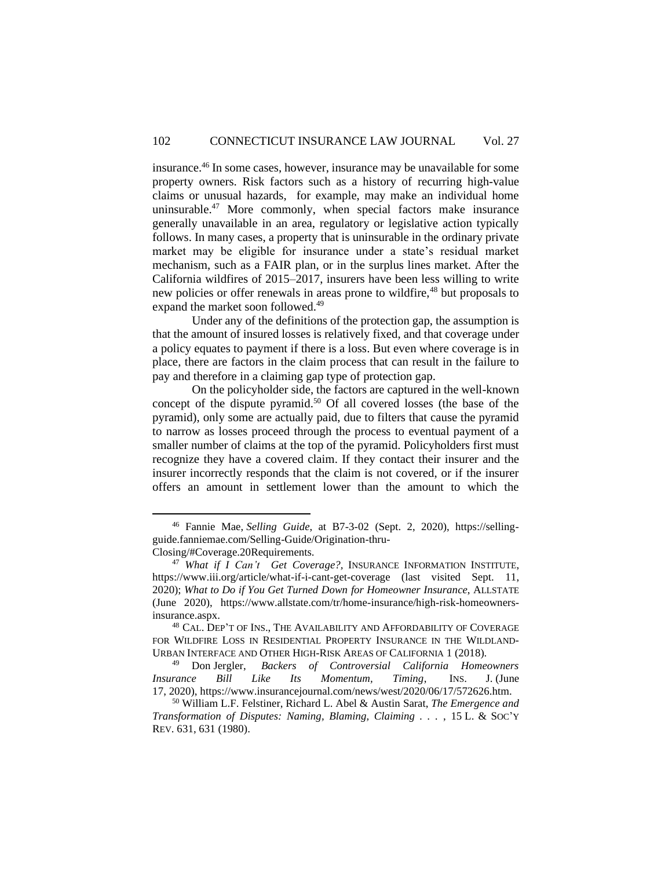insurance.<sup>46</sup> In some cases, however, insurance may be unavailable for some property owners. Risk factors such as a history of recurring high-value claims or unusual hazards, for example, may make an individual home uninsurable.<sup>47</sup> More commonly, when special factors make insurance generally unavailable in an area, regulatory or legislative action typically follows. In many cases, a property that is uninsurable in the ordinary private market may be eligible for insurance under a state's residual market mechanism, such as a FAIR plan, or in the surplus lines market. After the California wildfires of 2015–2017, insurers have been less willing to write new policies or offer renewals in areas prone to wildfire,<sup>48</sup> but proposals to expand the market soon followed.<sup>49</sup>

Under any of the definitions of the protection gap, the assumption is that the amount of insured losses is relatively fixed, and that coverage under a policy equates to payment if there is a loss. But even where coverage is in place, there are factors in the claim process that can result in the failure to pay and therefore in a claiming gap type of protection gap.

On the policyholder side, the factors are captured in the well-known concept of the dispute pyramid.<sup>50</sup> Of all covered losses (the base of the pyramid), only some are actually paid, due to filters that cause the pyramid to narrow as losses proceed through the process to eventual payment of a smaller number of claims at the top of the pyramid. Policyholders first must recognize they have a covered claim. If they contact their insurer and the insurer incorrectly responds that the claim is not covered, or if the insurer offers an amount in settlement lower than the amount to which the

<sup>46</sup> Fannie Mae, *Selling Guide*, at B7-3-02 (Sept. 2, 2020), https://sellingguide.fanniemae.com/Selling-Guide/Origination-thru-Closing/#Coverage.20Requirements.

<sup>47</sup> *What if I Can't Get Coverage?,* INSURANCE INFORMATION INSTITUTE, https://www.iii.org/article/what-if-i-cant-get-coverage (last visited Sept. 11, 2020); *What to Do if You Get Turned Down for Homeowner Insurance*, ALLSTATE (June 2020), https://www.allstate.com/tr/home-insurance/high-risk-homeownersinsurance.aspx.

<sup>48</sup> CAL. DEP'T OF INS., THE AVAILABILITY AND AFFORDABILITY OF COVERAGE FOR WILDFIRE LOSS IN RESIDENTIAL PROPERTY INSURANCE IN THE WILDLAND-URBAN INTERFACE AND OTHER HIGH-RISK AREAS OF CALIFORNIA 1 (2018).<br><sup>49</sup> Don Jergler, *Backers of Controversial California Home* 

<sup>49</sup> Don Jergler, *Backers of Controversial California Homeowners Insurance Bill Like Its Momentum, Timing*, INS. J. (June 17, 2020), https://www.insurancejournal.com/news/west/2020/06/17/572626.htm.

<sup>50</sup> William L.F. Felstiner, Richard L. Abel & Austin Sarat, *The Emergence and Transformation of Disputes: Naming, Blaming, Claiming . . .* , 15 L. & SOC'Y REV. 631, 631 (1980).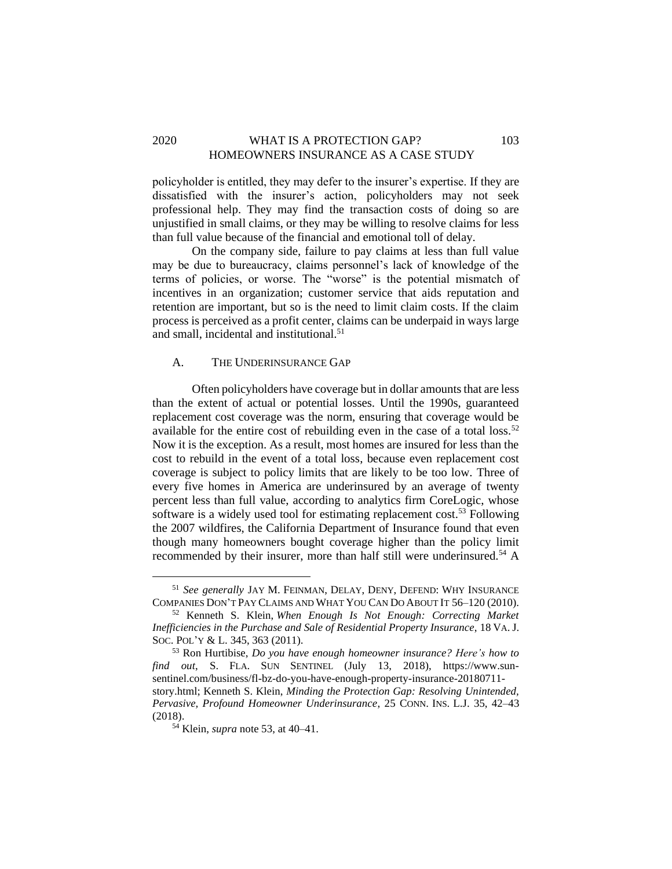### 2020 WHAT IS A PROTECTION GAP? 103 HOMEOWNERS INSURANCE AS A CASE STUDY

policyholder is entitled, they may defer to the insurer's expertise. If they are dissatisfied with the insurer's action, policyholders may not seek professional help. They may find the transaction costs of doing so are unjustified in small claims, or they may be willing to resolve claims for less than full value because of the financial and emotional toll of delay.

On the company side, failure to pay claims at less than full value may be due to bureaucracy, claims personnel's lack of knowledge of the terms of policies, or worse. The "worse" is the potential mismatch of incentives in an organization; customer service that aids reputation and retention are important, but so is the need to limit claim costs. If the claim process is perceived as a profit center, claims can be underpaid in ways large and small, incidental and institutional.<sup>51</sup>

### <span id="page-21-0"></span>A. THE UNDERINSURANCE GAP

Often policyholders have coverage but in dollar amounts that are less than the extent of actual or potential losses. Until the 1990s, guaranteed replacement cost coverage was the norm, ensuring that coverage would be available for the entire cost of rebuilding even in the case of a total loss.<sup>52</sup> Now it is the exception. As a result, most homes are insured for less than the cost to rebuild in the event of a total loss, because even replacement cost coverage is subject to policy limits that are likely to be too low. Three of every five homes in America are underinsured by an average of twenty percent less than full value, according to analytics firm CoreLogic, whose software is a widely used tool for estimating replacement cost.<sup>53</sup> Following the 2007 wildfires, the California Department of Insurance found that even though many homeowners bought coverage higher than the policy limit recommended by their insurer, more than half still were underinsured.<sup>54</sup> A

<sup>51</sup> *See generally* JAY M. FEINMAN, DELAY, DENY, DEFEND: WHY INSURANCE COMPANIES DON'T PAY CLAIMS AND WHAT YOU CAN DO ABOUT IT 56–120 (2010).

<sup>52</sup> Kenneth S. Klein, *When Enough Is Not Enough: Correcting Market Inefficiencies in the Purchase and Sale of Residential Property Insurance*, 18 VA. J. SOC. POL'Y & L. 345, 363 (2011).

<sup>53</sup> Ron Hurtibise, *Do you have enough homeowner insurance? Here's how to find out*, S. FLA. SUN SENTINEL (July 13, 2018), https://www.sunsentinel.com/business/fl-bz-do-you-have-enough-property-insurance-20180711 story.html; Kenneth S. Klein, *Minding the Protection Gap: Resolving Unintended, Pervasive, Profound Homeowner Underinsurance*, 25 CONN. INS. L.J. 35, 42–43 (2018).

<sup>54</sup> Klein, *supra* note 53, at 40–41.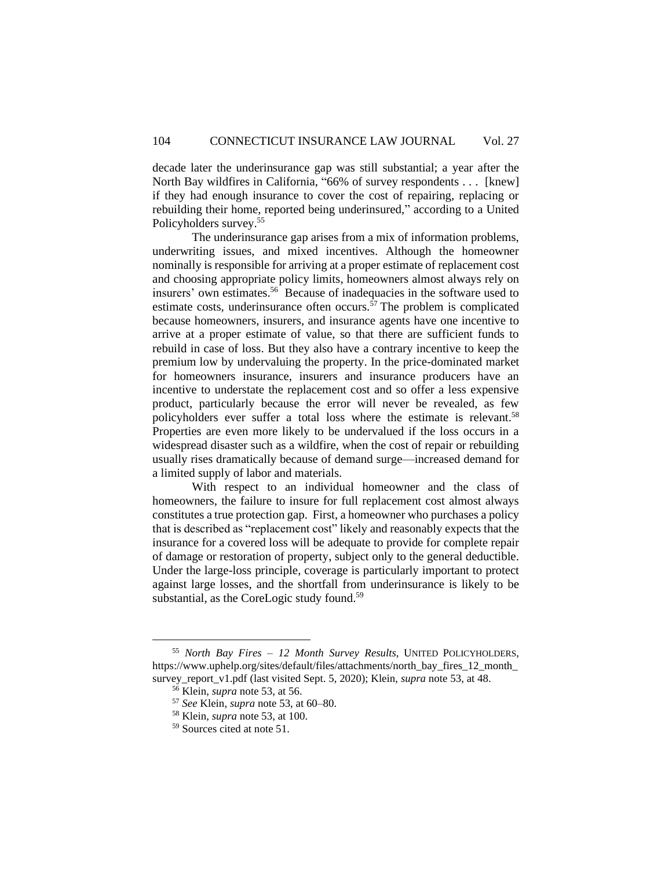decade later the underinsurance gap was still substantial; a year after the North Bay wildfires in California, "66% of survey respondents . . . [knew] if they had enough insurance to cover the cost of repairing, replacing or rebuilding their home, reported being underinsured," according to a United Policyholders survey.<sup>55</sup>

The underinsurance gap arises from a mix of information problems, underwriting issues, and mixed incentives. Although the homeowner nominally is responsible for arriving at a proper estimate of replacement cost and choosing appropriate policy limits, homeowners almost always rely on insurers' own estimates. 56 Because of inadequacies in the software used to estimate costs, underinsurance often occurs.<sup> $57$ </sup> The problem is complicated because homeowners, insurers, and insurance agents have one incentive to arrive at a proper estimate of value, so that there are sufficient funds to rebuild in case of loss. But they also have a contrary incentive to keep the premium low by undervaluing the property. In the price-dominated market for homeowners insurance, insurers and insurance producers have an incentive to understate the replacement cost and so offer a less expensive product, particularly because the error will never be revealed, as few policyholders ever suffer a total loss where the estimate is relevant.<sup>58</sup> Properties are even more likely to be undervalued if the loss occurs in a widespread disaster such as a wildfire, when the cost of repair or rebuilding usually rises dramatically because of demand surge—increased demand for a limited supply of labor and materials.

With respect to an individual homeowner and the class of homeowners, the failure to insure for full replacement cost almost always constitutes a true protection gap. First, a homeowner who purchases a policy that is described as "replacement cost" likely and reasonably expects that the insurance for a covered loss will be adequate to provide for complete repair of damage or restoration of property, subject only to the general deductible. Under the large-loss principle, coverage is particularly important to protect against large losses, and the shortfall from underinsurance is likely to be substantial, as the CoreLogic study found.<sup>59</sup>

<sup>55</sup> *North Bay Fires – 12 Month Survey Results,* UNITED POLICYHOLDERS, https://www.uphelp.org/sites/default/files/attachments/north\_bay\_fires\_12\_month survey report v1.pdf (last visited Sept. 5, 2020); Klein, *supra* note 53, at 48.

<sup>56</sup> Klein, *supra* note 53, at 56.

<sup>57</sup> *See* Klein, *supra* note 53, at 60–80.

<sup>58</sup> Klein, *supra* note 53, at 100.

<sup>59</sup> Sources cited at note 51.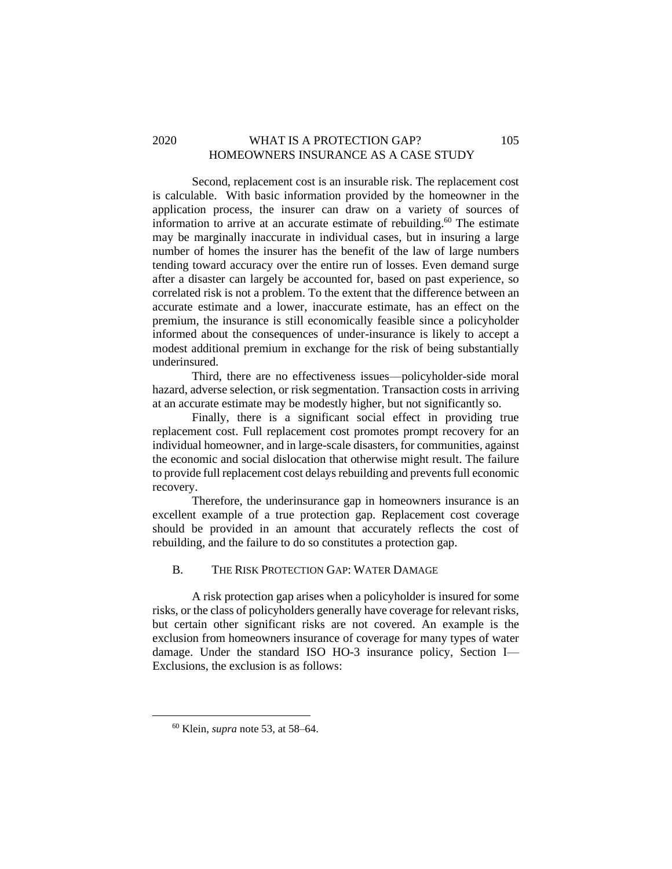# 2020 WHAT IS A PROTECTION GAP? 105 HOMEOWNERS INSURANCE AS A CASE STUDY

Second, replacement cost is an insurable risk. The replacement cost is calculable. With basic information provided by the homeowner in the application process, the insurer can draw on a variety of sources of information to arrive at an accurate estimate of rebuilding. <sup>60</sup> The estimate may be marginally inaccurate in individual cases, but in insuring a large number of homes the insurer has the benefit of the law of large numbers tending toward accuracy over the entire run of losses. Even demand surge after a disaster can largely be accounted for, based on past experience, so correlated risk is not a problem. To the extent that the difference between an accurate estimate and a lower, inaccurate estimate, has an effect on the premium, the insurance is still economically feasible since a policyholder informed about the consequences of under-insurance is likely to accept a modest additional premium in exchange for the risk of being substantially underinsured.

Third, there are no effectiveness issues—policyholder-side moral hazard, adverse selection, or risk segmentation. Transaction costs in arriving at an accurate estimate may be modestly higher, but not significantly so.

Finally, there is a significant social effect in providing true replacement cost. Full replacement cost promotes prompt recovery for an individual homeowner, and in large-scale disasters, for communities, against the economic and social dislocation that otherwise might result. The failure to provide full replacement cost delays rebuilding and prevents full economic recovery.

Therefore, the underinsurance gap in homeowners insurance is an excellent example of a true protection gap. Replacement cost coverage should be provided in an amount that accurately reflects the cost of rebuilding, and the failure to do so constitutes a protection gap.

### <span id="page-23-0"></span>B. THE RISK PROTECTION GAP: WATER DAMAGE

A risk protection gap arises when a policyholder is insured for some risks, or the class of policyholders generally have coverage for relevant risks, but certain other significant risks are not covered. An example is the exclusion from homeowners insurance of coverage for many types of water damage. Under the standard ISO HO-3 insurance policy, Section I— Exclusions, the exclusion is as follows:

<sup>60</sup> Klein, *supra* note 53, at 58–64.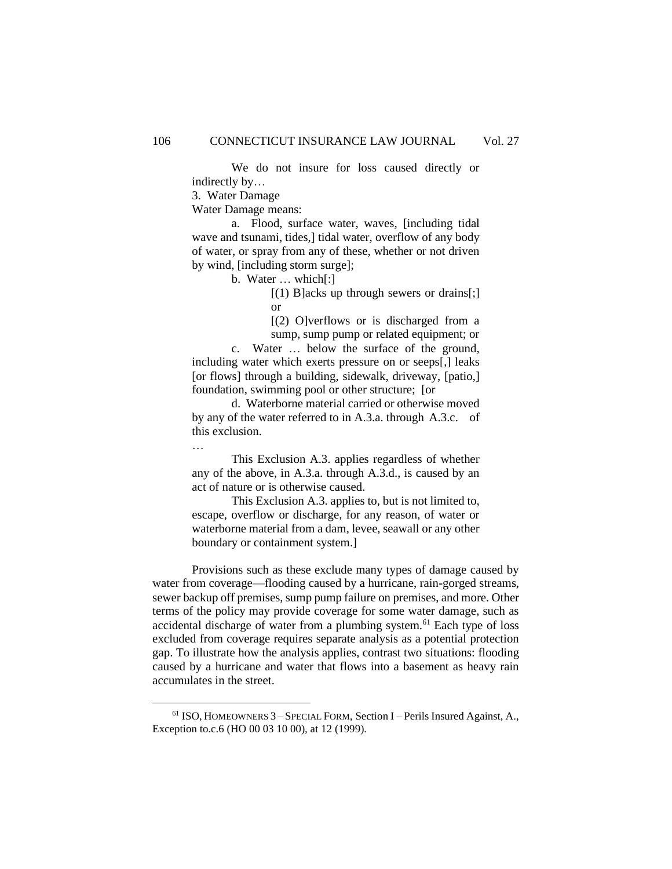We do not insure for loss caused directly or indirectly by…

3. Water Damage

Water Damage means:

a. Flood, surface water, waves, [including tidal wave and tsunami, tides,] tidal water, overflow of any body of water, or spray from any of these, whether or not driven by wind, [including storm surge];

b. Water … which[:]

 $[(1)$  B acks up through sewers or drains [; ] or

[(2) O]verflows or is discharged from a sump, sump pump or related equipment; or

c. Water … below the surface of the ground, including water which exerts pressure on or seeps[,] leaks [or flows] through a building, sidewalk, driveway, [patio,] foundation, swimming pool or other structure; [or

d. Waterborne material carried or otherwise moved by any of the water referred to in A.3.a. through A.3.c. of this exclusion.

…

This Exclusion A.3. applies regardless of whether any of the above, in A.3.a. through A.3.d., is caused by an act of nature or is otherwise caused.

This Exclusion A.3. applies to, but is not limited to, escape, overflow or discharge, for any reason, of water or waterborne material from a dam, levee, seawall or any other boundary or containment system.]

Provisions such as these exclude many types of damage caused by water from coverage—flooding caused by a hurricane, rain-gorged streams, sewer backup off premises, sump pump failure on premises, and more. Other terms of the policy may provide coverage for some water damage, such as accidental discharge of water from a plumbing system.<sup>61</sup> Each type of loss excluded from coverage requires separate analysis as a potential protection gap. To illustrate how the analysis applies, contrast two situations: flooding caused by a hurricane and water that flows into a basement as heavy rain accumulates in the street.

<sup>61</sup> ISO, HOMEOWNERS 3 – SPECIAL FORM, Section I – Perils Insured Against, A., Exception to.c.6 (HO 00 03 10 00), at 12 (1999).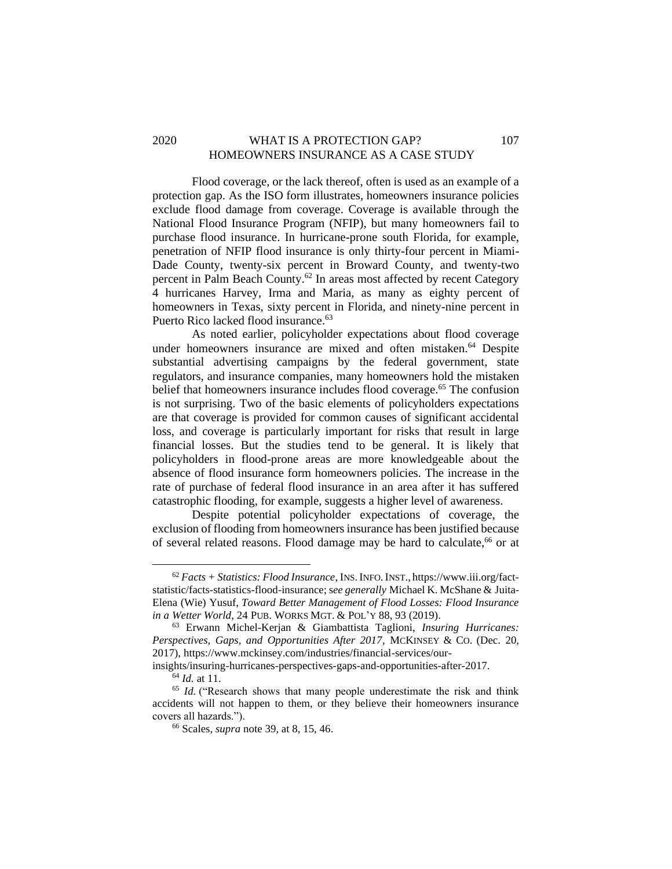# 2020 WHAT IS A PROTECTION GAP? 107 HOMEOWNERS INSURANCE AS A CASE STUDY

Flood coverage, or the lack thereof, often is used as an example of a protection gap. As the ISO form illustrates, homeowners insurance policies exclude flood damage from coverage. Coverage is available through the National Flood Insurance Program (NFIP), but many homeowners fail to purchase flood insurance. In hurricane-prone south Florida, for example, penetration of NFIP flood insurance is only thirty-four percent in Miami-Dade County, twenty-six percent in Broward County, and twenty-two percent in Palm Beach County.<sup>62</sup> In areas most affected by recent Category 4 hurricanes Harvey, Irma and Maria, as many as eighty percent of homeowners in Texas, sixty percent in Florida, and ninety-nine percent in Puerto Rico lacked flood insurance.<sup>63</sup>

As noted earlier, policyholder expectations about flood coverage under homeowners insurance are mixed and often mistaken.<sup>64</sup> Despite substantial advertising campaigns by the federal government, state regulators, and insurance companies, many homeowners hold the mistaken belief that homeowners insurance includes flood coverage.<sup>65</sup> The confusion is not surprising. Two of the basic elements of policyholders expectations are that coverage is provided for common causes of significant accidental loss, and coverage is particularly important for risks that result in large financial losses. But the studies tend to be general. It is likely that policyholders in flood-prone areas are more knowledgeable about the absence of flood insurance form homeowners policies. The increase in the rate of purchase of federal flood insurance in an area after it has suffered catastrophic flooding, for example, suggests a higher level of awareness.

Despite potential policyholder expectations of coverage, the exclusion of flooding from homeowners insurance has been justified because of several related reasons. Flood damage may be hard to calculate,<sup>66</sup> or at

<sup>62</sup> *Facts + Statistics: Flood Insurance*, INS.INFO.INST., https://www.iii.org/factstatistic/facts-statistics-flood-insurance; s*ee generally* Michael K. McShane & Juita-Elena (Wie) Yusuf, *Toward Better Management of Flood Losses: Flood Insurance in a Wetter World*, 24 PUB. WORKS MGT. & POL'Y 88, 93 (2019).

<sup>63</sup> Erwann Michel-Kerjan & Giambattista Taglioni, *Insuring Hurricanes: Perspectives, Gaps, and Opportunities After 2017*, MCKINSEY & CO. (Dec. 20, 2017), https://www.mckinsey.com/industries/financial-services/our-

insights/insuring-hurricanes-perspectives-gaps-and-opportunities-after-2017.

<sup>64</sup> *Id.* at 11.

<sup>&</sup>lt;sup>65</sup> *Id.* ("Research shows that many people underestimate the risk and think accidents will not happen to them, or they believe their homeowners insurance covers all hazards.").

<sup>66</sup> Scales, *supra* note 39, at 8, 15, 46.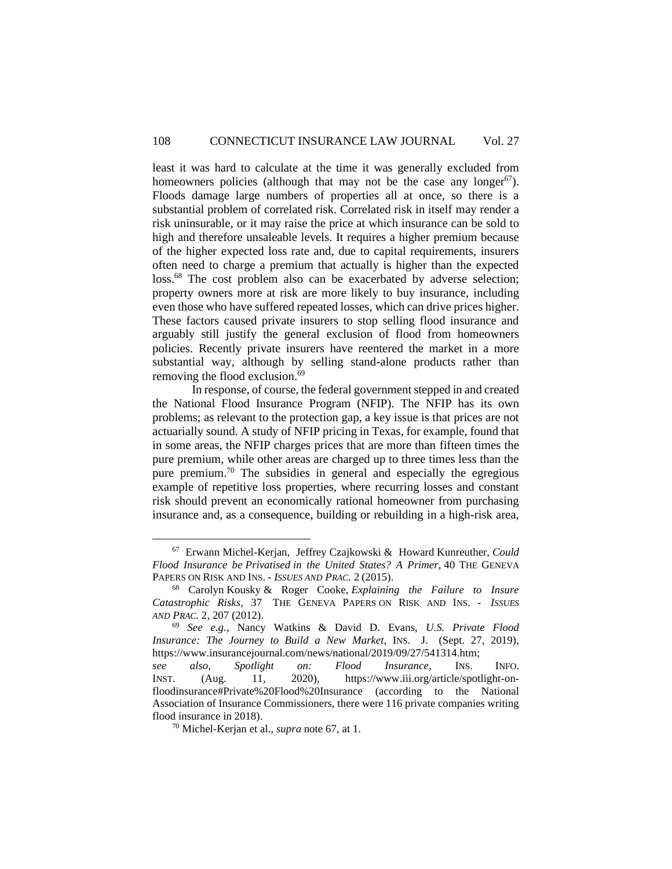least it was hard to calculate at the time it was generally excluded from homeowners policies (although that may not be the case any longer<sup>67</sup>). Floods damage large numbers of properties all at once, so there is a substantial problem of correlated risk. Correlated risk in itself may render a risk uninsurable, or it may raise the price at which insurance can be sold to high and therefore unsaleable levels. It requires a higher premium because of the higher expected loss rate and, due to capital requirements, insurers often need to charge a premium that actually is higher than the expected loss.<sup>68</sup> The cost problem also can be exacerbated by adverse selection; property owners more at risk are more likely to buy insurance, including even those who have suffered repeated losses, which can drive prices higher. These factors caused private insurers to stop selling flood insurance and arguably still justify the general exclusion of flood from homeowners policies. Recently private insurers have reentered the market in a more substantial way, although by selling stand-alone products rather than removing the flood exclusion. 69

In response, of course, the federal government stepped in and created the National Flood Insurance Program (NFIP). The NFIP has its own problems; as relevant to the protection gap, a key issue is that prices are not actuarially sound. A study of NFIP pricing in Texas, for example, found that in some areas, the NFIP charges prices that are more than fifteen times the pure premium, while other areas are charged up to three times less than the pure premium.<sup>70</sup> The subsidies in general and especially the egregious example of repetitive loss properties, where recurring losses and constant risk should prevent an economically rational homeowner from purchasing insurance and, as a consequence, building or rebuilding in a high-risk area,

<sup>67</sup> Erwann Michel-Kerjan, Jeffrey Czajkowski & Howard Kunreuther, *Could Flood Insurance be Privatised in the United States? A Primer*, 40 THE GENEVA PAPERS ON RISK AND INS. - *ISSUES AND PRAC.* 2 (2015).

<sup>68</sup> Carolyn Kousky & Roger Cooke, *Explaining the Failure to Insure Catastrophic Risks*, 37 THE GENEVA PAPERS ON RISK AND INS. - *ISSUES AND PRAC.* 2, 207 (2012).

<sup>69</sup> *See e.g.*, Nancy Watkins & David D. Evans, *U.S. Private Flood Insurance: The Journey to Build a New Market*, INS. J. (Sept. 27, 2019), https://www.insurancejournal.com/news/national/2019/09/27/541314.htm;

*see also*, *Spotlight on: Flood Insurance*, INS. INFO. INST. (Aug. 11, 2020), https://www.iii.org/article/spotlight-onfloodinsurance#Private%20Flood%20Insurance (according to the National Association of Insurance Commissioners, there were 116 private companies writing flood insurance in 2018).

<sup>70</sup> Michel-Kerjan et al., *supra* note 67, at 1.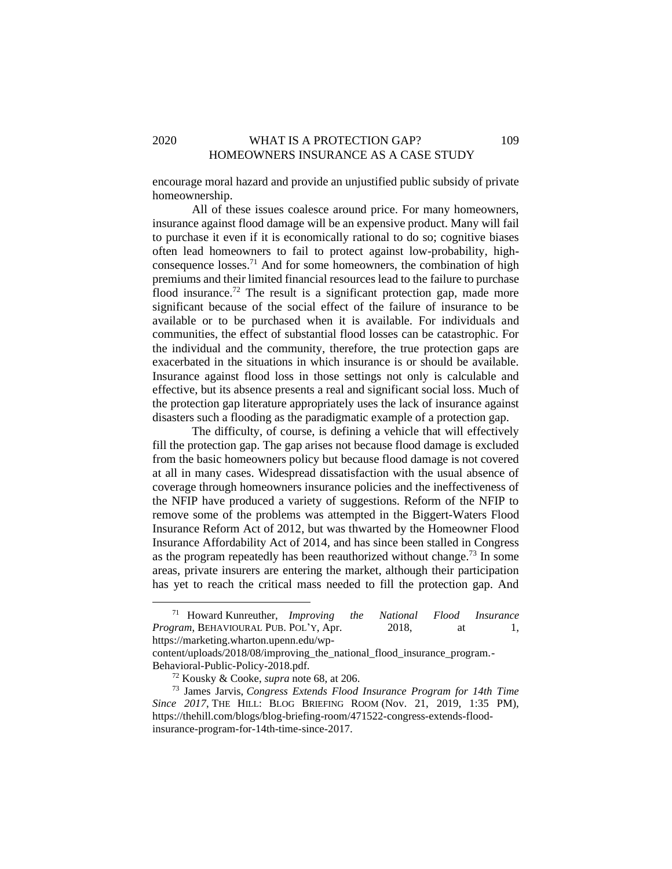# 2020 WHAT IS A PROTECTION GAP? 109 HOMEOWNERS INSURANCE AS A CASE STUDY

encourage moral hazard and provide an unjustified public subsidy of private homeownership.

All of these issues coalesce around price. For many homeowners, insurance against flood damage will be an expensive product. Many will fail to purchase it even if it is economically rational to do so; cognitive biases often lead homeowners to fail to protect against low-probability, highconsequence losses.<sup>71</sup> And for some homeowners, the combination of high premiums and their limited financial resources lead to the failure to purchase flood insurance.<sup>72</sup> The result is a significant protection gap, made more significant because of the social effect of the failure of insurance to be available or to be purchased when it is available. For individuals and communities, the effect of substantial flood losses can be catastrophic. For the individual and the community, therefore, the true protection gaps are exacerbated in the situations in which insurance is or should be available. Insurance against flood loss in those settings not only is calculable and effective, but its absence presents a real and significant social loss. Much of the protection gap literature appropriately uses the lack of insurance against disasters such a flooding as the paradigmatic example of a protection gap.

The difficulty, of course, is defining a vehicle that will effectively fill the protection gap. The gap arises not because flood damage is excluded from the basic homeowners policy but because flood damage is not covered at all in many cases. Widespread dissatisfaction with the usual absence of coverage through homeowners insurance policies and the ineffectiveness of the NFIP have produced a variety of suggestions. Reform of the NFIP to remove some of the problems was attempted in the Biggert-Waters Flood Insurance Reform Act of 2012, but was thwarted by the Homeowner Flood Insurance Affordability Act of 2014, and has since been stalled in Congress as the program repeatedly has been reauthorized without change.<sup>73</sup> In some areas, private insurers are entering the market, although their participation has yet to reach the critical mass needed to fill the protection gap. And

<sup>71</sup> Howard Kunreuther, *Improving the National Flood Insurance Program*, BEHAVIOURAL PUB. POL'Y, Apr. 2018, at 1, https://marketing.wharton.upenn.edu/wp-

content/uploads/2018/08/improving the national flood insurance program.-Behavioral-Public-Policy-2018.pdf.

<sup>72</sup> Kousky & Cooke, *supra* note 68, at 206.

<sup>73</sup> James Jarvis, *Congress Extends Flood Insurance Program for 14th Time Since 2017*, THE HILL: BLOG BRIEFING ROOM (Nov. 21, 2019, 1:35 PM), https://thehill.com/blogs/blog-briefing-room/471522-congress-extends-floodinsurance-program-for-14th-time-since-2017.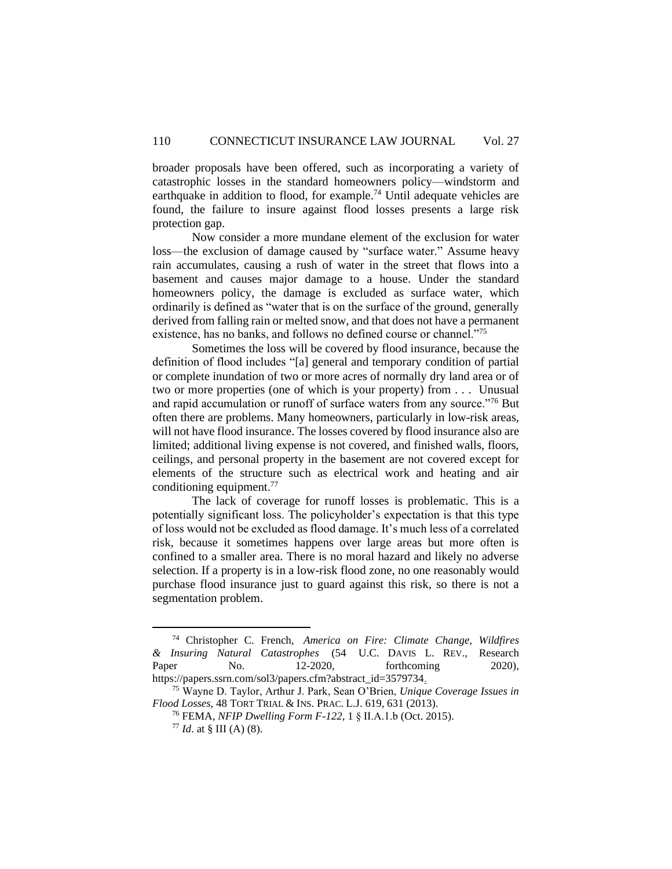broader proposals have been offered, such as incorporating a variety of catastrophic losses in the standard homeowners policy—windstorm and earthquake in addition to flood, for example.<sup>74</sup> Until adequate vehicles are found, the failure to insure against flood losses presents a large risk protection gap.

Now consider a more mundane element of the exclusion for water loss—the exclusion of damage caused by "surface water." Assume heavy rain accumulates, causing a rush of water in the street that flows into a basement and causes major damage to a house. Under the standard homeowners policy, the damage is excluded as surface water, which ordinarily is defined as "water that is on the surface of the ground, generally derived from falling rain or melted snow, and that does not have a permanent existence, has no banks, and follows no defined course or channel."<sup>75</sup>

Sometimes the loss will be covered by flood insurance, because the definition of flood includes "[a] general and temporary condition of partial or complete inundation of two or more acres of normally dry land area or of two or more properties (one of which is your property) from . . . Unusual and rapid accumulation or runoff of surface waters from any source."<sup>76</sup> But often there are problems. Many homeowners, particularly in low-risk areas, will not have flood insurance. The losses covered by flood insurance also are limited; additional living expense is not covered, and finished walls, floors, ceilings, and personal property in the basement are not covered except for elements of the structure such as electrical work and heating and air conditioning equipment. 77

The lack of coverage for runoff losses is problematic. This is a potentially significant loss. The policyholder's expectation is that this type of loss would not be excluded as flood damage. It's much less of a correlated risk, because it sometimes happens over large areas but more often is confined to a smaller area. There is no moral hazard and likely no adverse selection. If a property is in a low-risk flood zone, no one reasonably would purchase flood insurance just to guard against this risk, so there is not a segmentation problem.

<sup>74</sup> Christopher C. French, *America on Fire: Climate Change, Wildfires & Insuring Natural Catastrophes* (54 U.C. DAVIS L. REV., Research Paper No. 12-2020, forthcoming 2020), https://papers.ssrn.com/sol3/papers.cfm?abstract\_id=3579734.

<sup>75</sup> Wayne D. Taylor, Arthur J. Park, Sean O'Brien, *Unique Coverage Issues in Flood Losses*, 48 TORT TRIAL & INS. PRAC. L.J. 619, 631 (2013).

<sup>76</sup> FEMA, *NFIP Dwelling Form F-122*, 1 § II.A.1.b (Oct. 2015).

 $77$  *Id.* at § III (A) (8).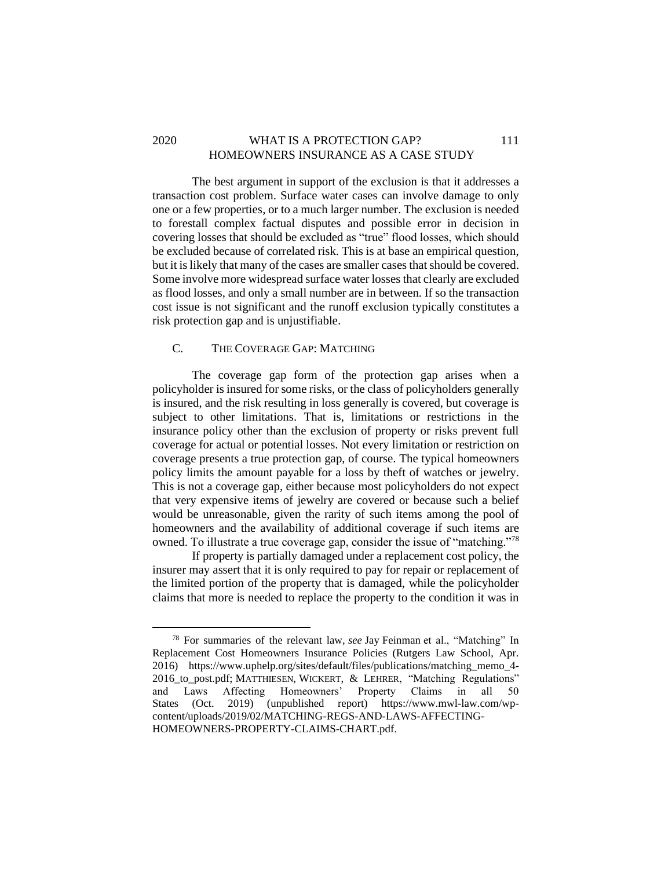# 2020 WHAT IS A PROTECTION GAP? 111 HOMEOWNERS INSURANCE AS A CASE STUDY

The best argument in support of the exclusion is that it addresses a transaction cost problem. Surface water cases can involve damage to only one or a few properties, or to a much larger number. The exclusion is needed to forestall complex factual disputes and possible error in decision in covering losses that should be excluded as "true" flood losses, which should be excluded because of correlated risk. This is at base an empirical question, but it is likely that many of the cases are smaller cases that should be covered. Some involve more widespread surface water losses that clearly are excluded as flood losses, and only a small number are in between. If so the transaction cost issue is not significant and the runoff exclusion typically constitutes a risk protection gap and is unjustifiable.

#### <span id="page-29-0"></span>C. THE COVERAGE GAP: MATCHING

The coverage gap form of the protection gap arises when a policyholder is insured for some risks, or the class of policyholders generally is insured, and the risk resulting in loss generally is covered, but coverage is subject to other limitations. That is, limitations or restrictions in the insurance policy other than the exclusion of property or risks prevent full coverage for actual or potential losses. Not every limitation or restriction on coverage presents a true protection gap, of course. The typical homeowners policy limits the amount payable for a loss by theft of watches or jewelry. This is not a coverage gap, either because most policyholders do not expect that very expensive items of jewelry are covered or because such a belief would be unreasonable, given the rarity of such items among the pool of homeowners and the availability of additional coverage if such items are owned. To illustrate a true coverage gap, consider the issue of "matching."<sup>78</sup>

If property is partially damaged under a replacement cost policy, the insurer may assert that it is only required to pay for repair or replacement of the limited portion of the property that is damaged, while the policyholder claims that more is needed to replace the property to the condition it was in

<sup>78</sup> For summaries of the relevant law, *see* Jay Feinman et al., "Matching" In Replacement Cost Homeowners Insurance Policies (Rutgers Law School, Apr. 2016) https://www.uphelp.org/sites/default/files/publications/matching\_memo\_4- 2016 to post.pdf; MATTHIESEN, WICKERT, & LEHRER, "Matching Regulations" and Laws Affecting Homeowners' Property Claims in all 50 States (Oct. 2019) (unpublished report) https://www.mwl-law.com/wpcontent/uploads/2019/02/MATCHING-REGS-AND-LAWS-AFFECTING-HOMEOWNERS-PROPERTY-CLAIMS-CHART.pdf.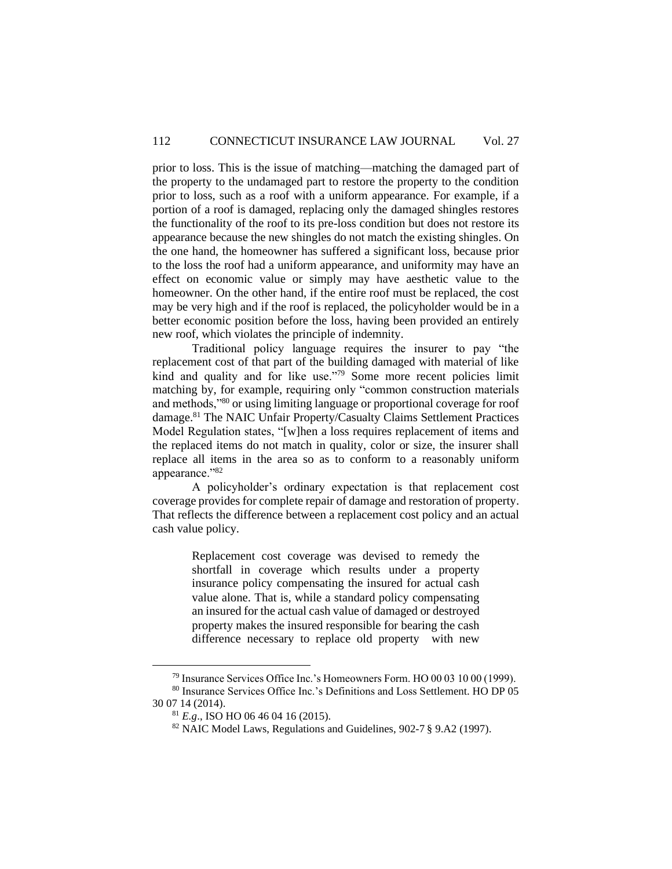prior to loss. This is the issue of matching—matching the damaged part of the property to the undamaged part to restore the property to the condition prior to loss, such as a roof with a uniform appearance. For example, if a portion of a roof is damaged, replacing only the damaged shingles restores the functionality of the roof to its pre-loss condition but does not restore its appearance because the new shingles do not match the existing shingles. On the one hand, the homeowner has suffered a significant loss, because prior to the loss the roof had a uniform appearance, and uniformity may have an effect on economic value or simply may have aesthetic value to the homeowner. On the other hand, if the entire roof must be replaced, the cost may be very high and if the roof is replaced, the policyholder would be in a better economic position before the loss, having been provided an entirely new roof, which violates the principle of indemnity.

Traditional policy language requires the insurer to pay "the replacement cost of that part of the building damaged with material of like kind and quality and for like use."<sup>79</sup> Some more recent policies limit matching by, for example, requiring only "common construction materials and methods,"<sup>80</sup> or using limiting language or proportional coverage for roof damage. <sup>81</sup> The NAIC Unfair Property/Casualty Claims Settlement Practices Model Regulation states, "[w]hen a loss requires replacement of items and the replaced items do not match in quality, color or size, the insurer shall replace all items in the area so as to conform to a reasonably uniform appearance."82

A policyholder's ordinary expectation is that replacement cost coverage provides for complete repair of damage and restoration of property. That reflects the difference between a replacement cost policy and an actual cash value policy.

> Replacement cost coverage was devised to remedy the shortfall in coverage which results under a property insurance policy compensating the insured for actual cash value alone. That is, while a standard policy compensating an insured for the actual cash value of damaged or destroyed property makes the insured responsible for bearing the cash difference necessary to replace old property with new

 $79$  Insurance Services Office Inc.'s Homeowners Form. HO 00 03 10 00 (1999).

<sup>80</sup> Insurance Services Office Inc.'s Definitions and Loss Settlement. HO DP 05 30 07 14 (2014).

<sup>81</sup> *E.g*., ISO HO 06 46 04 16 (2015).

<sup>82</sup> NAIC Model Laws, Regulations and Guidelines, 902-7 § 9.A2 (1997).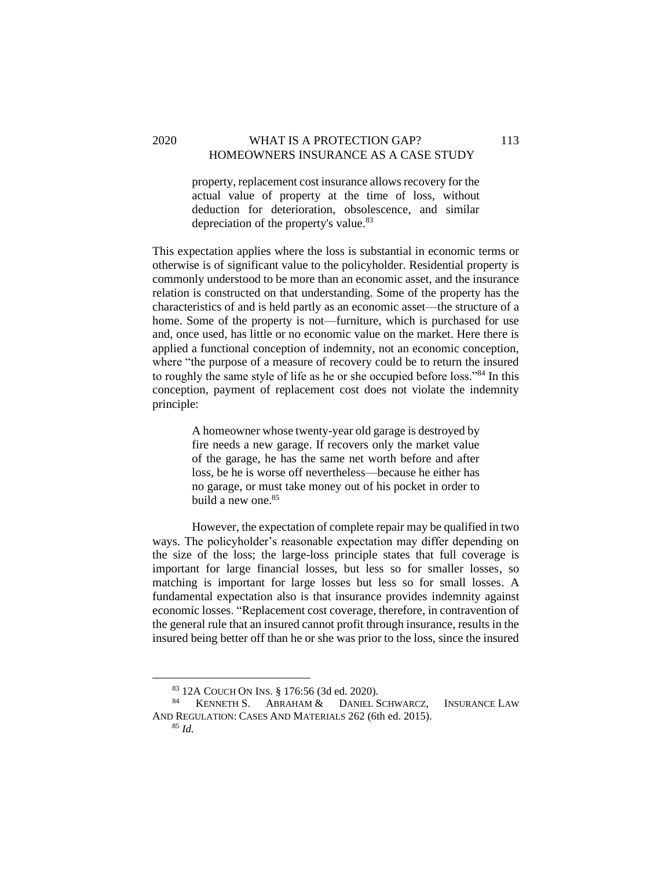### 2020 WHAT IS A PROTECTION GAP? 113 HOMEOWNERS INSURANCE AS A CASE STUDY

property, replacement cost insurance allows recovery for the actual value of property at the time of loss, without deduction for deterioration, obsolescence, and similar depreciation of the property's value.<sup>83</sup>

This expectation applies where the loss is substantial in economic terms or otherwise is of significant value to the policyholder. Residential property is commonly understood to be more than an economic asset, and the insurance relation is constructed on that understanding. Some of the property has the characteristics of and is held partly as an economic asset—the structure of a home. Some of the property is not—furniture, which is purchased for use and, once used, has little or no economic value on the market. Here there is applied a functional conception of indemnity, not an economic conception, where "the purpose of a measure of recovery could be to return the insured to roughly the same style of life as he or she occupied before loss."<sup>84</sup> In this conception, payment of replacement cost does not violate the indemnity principle:

> A homeowner whose twenty-year old garage is destroyed by fire needs a new garage. If recovers only the market value of the garage, he has the same net worth before and after loss, be he is worse off nevertheless—because he either has no garage, or must take money out of his pocket in order to build a new one.<sup>85</sup>

However, the expectation of complete repair may be qualified in two ways. The policyholder's reasonable expectation may differ depending on the size of the loss; the large-loss principle states that full coverage is important for large financial losses, but less so for smaller losses, so matching is important for large losses but less so for small losses. A fundamental expectation also is that insurance provides indemnity against economic losses. "Replacement cost coverage, therefore, in contravention of the general rule that an insured cannot profit through insurance, results in the insured being better off than he or she was prior to the loss, since the insured

<sup>83</sup> 12A COUCH ON INS. § 176:56 (3d ed. 2020).

<sup>84</sup> KENNETH S. ABRAHAM & DANIEL SCHWARCZ, INSURANCE LAW AND REGULATION: CASES AND MATERIALS 262 (6th ed. 2015). <sup>85</sup> *Id.*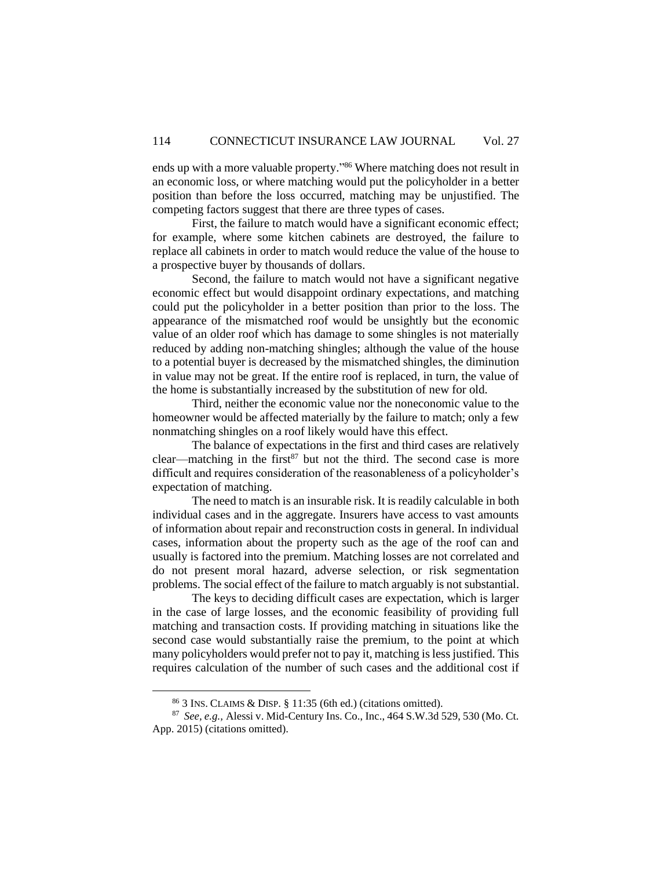ends up with a more valuable property." <sup>86</sup> Where matching does not result in an economic loss, or where matching would put the policyholder in a better position than before the loss occurred, matching may be unjustified. The competing factors suggest that there are three types of cases.

First, the failure to match would have a significant economic effect; for example, where some kitchen cabinets are destroyed, the failure to replace all cabinets in order to match would reduce the value of the house to a prospective buyer by thousands of dollars.

Second, the failure to match would not have a significant negative economic effect but would disappoint ordinary expectations, and matching could put the policyholder in a better position than prior to the loss. The appearance of the mismatched roof would be unsightly but the economic value of an older roof which has damage to some shingles is not materially reduced by adding non-matching shingles; although the value of the house to a potential buyer is decreased by the mismatched shingles, the diminution in value may not be great. If the entire roof is replaced, in turn, the value of the home is substantially increased by the substitution of new for old.

Third, neither the economic value nor the noneconomic value to the homeowner would be affected materially by the failure to match; only a few nonmatching shingles on a roof likely would have this effect.

The balance of expectations in the first and third cases are relatively clear—matching in the first<sup>87</sup> but not the third. The second case is more difficult and requires consideration of the reasonableness of a policyholder's expectation of matching.

The need to match is an insurable risk. It is readily calculable in both individual cases and in the aggregate. Insurers have access to vast amounts of information about repair and reconstruction costs in general. In individual cases, information about the property such as the age of the roof can and usually is factored into the premium. Matching losses are not correlated and do not present moral hazard, adverse selection, or risk segmentation problems. The social effect of the failure to match arguably is not substantial.

The keys to deciding difficult cases are expectation, which is larger in the case of large losses, and the economic feasibility of providing full matching and transaction costs. If providing matching in situations like the second case would substantially raise the premium, to the point at which many policyholders would prefer not to pay it, matching is less justified. This requires calculation of the number of such cases and the additional cost if

 $86$  3 INS. CLAIMS & DISP. § 11:35 (6th ed.) (citations omitted).

<sup>87</sup> *See, e.g.,* Alessi v. Mid-Century Ins. Co., Inc., 464 S.W.3d 529, 530 (Mo. Ct. App. 2015) (citations omitted).